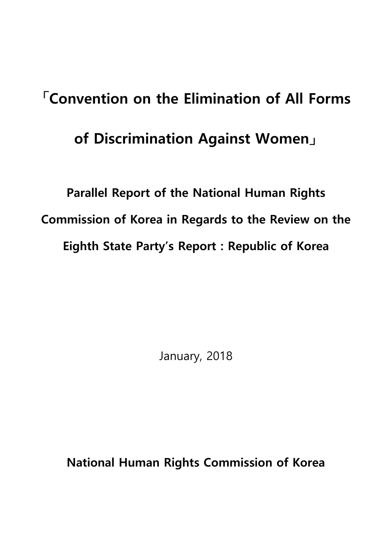# **「Convention on the Elimination of All Forms of Discrimination Against Women」**

**Parallel Report of the National Human Rights Commission of Korea in Regards to the Review on the Eighth State Party's Report : Republic of Korea**

January, 2018

**National Human Rights Commission of Korea**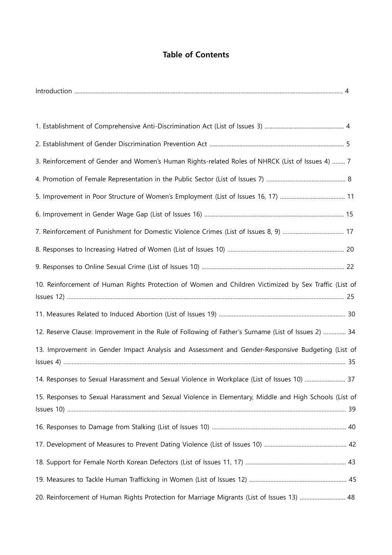## **Table of Contents**

| 3. Reinforcement of Gender and Women's Human Rights-related Roles of NHRCK (List of Issues 4)  7       |    |
|--------------------------------------------------------------------------------------------------------|----|
|                                                                                                        |    |
|                                                                                                        |    |
|                                                                                                        |    |
| 7. Reinforcement of Punishment for Domestic Violence Crimes (List of Issues 8, 9)  17                  |    |
|                                                                                                        |    |
|                                                                                                        |    |
| 10. Reinforcement of Human Rights Protection of Women and Children Victimized by Sex Traffic (List of  |    |
|                                                                                                        |    |
| 12. Reserve Clause: Improvement in the Rule of Following of Father's Surname (List of Issues 2)  34    |    |
| 13. Improvement in Gender Impact Analysis and Assessment and Gender-Responsive Budgeting (List of      |    |
| 14. Responses to Sexual Harassment and Sexual Violence in Workplace (List of Issues 10)                | 37 |
| 15. Responses to Sexual Harassment and Sexual Violence in Elementary, Middle and High Schools (List of |    |
|                                                                                                        |    |
|                                                                                                        |    |
|                                                                                                        |    |
|                                                                                                        |    |
| 20. Reinforcement of Human Rights Protection for Marriage Migrants (List of Issues 13)  48             |    |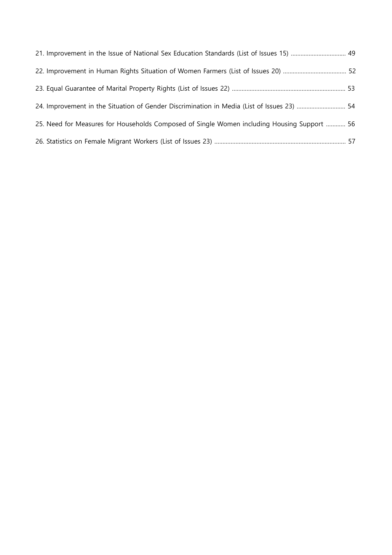| 21. Improvement in the Issue of National Sex Education Standards (List of Issues 15)  49    |  |
|---------------------------------------------------------------------------------------------|--|
|                                                                                             |  |
|                                                                                             |  |
| 24. Improvement in the Situation of Gender Discrimination in Media (List of Issues 23)  54  |  |
| 25. Need for Measures for Households Composed of Single Women including Housing Support  56 |  |
|                                                                                             |  |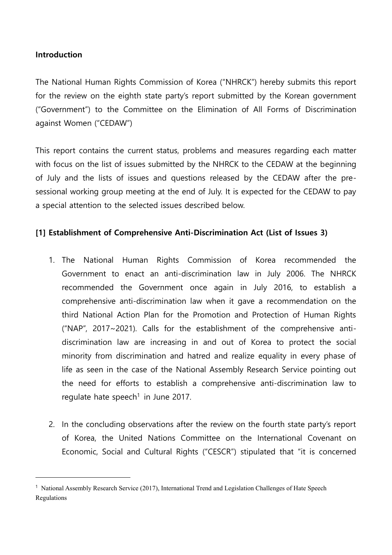## **Introduction**

-

The National Human Rights Commission of Korea ("NHRCK") hereby submits this report for the review on the eighth state party's report submitted by the Korean government ("Government") to the Committee on the Elimination of All Forms of Discrimination against Women ("CEDAW")

This report contains the current status, problems and measures regarding each matter with focus on the list of issues submitted by the NHRCK to the CEDAW at the beginning of July and the lists of issues and questions released by the CEDAW after the presessional working group meeting at the end of July. It is expected for the CEDAW to pay a special attention to the selected issues described below.

## **[1] Establishment of Comprehensive Anti-Discrimination Act (List of Issues 3)**

- 1. The National Human Rights Commission of Korea recommended the Government to enact an anti-discrimination law in July 2006. The NHRCK recommended the Government once again in July 2016, to establish a comprehensive anti-discrimination law when it gave a recommendation on the third National Action Plan for the Promotion and Protection of Human Rights ("NAP", 2017~2021). Calls for the establishment of the comprehensive antidiscrimination law are increasing in and out of Korea to protect the social minority from discrimination and hatred and realize equality in every phase of life as seen in the case of the National Assembly Research Service pointing out the need for efforts to establish a comprehensive anti-discrimination law to regulate hate speech<sup>1</sup> in June 2017.
- 2. In the concluding observations after the review on the fourth state party's report of Korea, the United Nations Committee on the International Covenant on Economic, Social and Cultural Rights ("CESCR") stipulated that "it is concerned

<sup>1</sup> National Assembly Research Service (2017), International Trend and Legislation Challenges of Hate Speech Regulations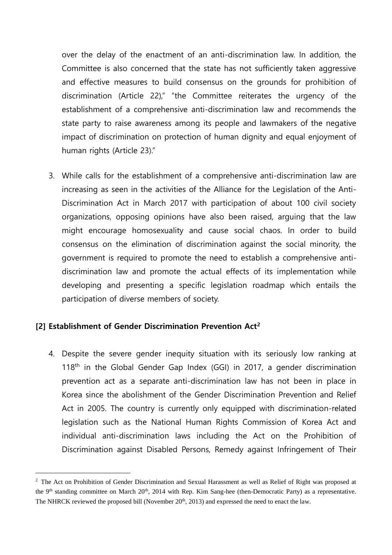over the delay of the enactment of an anti-discrimination law. In addition, the Committee is also concerned that the state has not sufficiently taken aggressive and effective measures to build consensus on the grounds for prohibition of discrimination (Article 22)," "the Committee reiterates the urgency of the establishment of a comprehensive anti-discrimination law and recommends the state party to raise awareness among its people and lawmakers of the negative impact of discrimination on protection of human dignity and equal enjoyment of human rights (Article 23)."

3. While calls for the establishment of a comprehensive anti-discrimination law are increasing as seen in the activities of the Alliance for the Legislation of the Anti-Discrimination Act in March 2017 with participation of about 100 civil society organizations, opposing opinions have also been raised, arguing that the law might encourage homosexuality and cause social chaos. In order to build consensus on the elimination of discrimination against the social minority, the government is required to promote the need to establish a comprehensive antidiscrimination law and promote the actual effects of its implementation while developing and presenting a specific legislation roadmap which entails the participation of diverse members of society.

### **[2] Establishment of Gender Discrimination Prevention Act<sup>2</sup>**

-

4. Despite the severe gender inequity situation with its seriously low ranking at 118<sup>th</sup> in the Global Gender Gap Index (GGI) in 2017, a gender discrimination prevention act as a separate anti-discrimination law has not been in place in Korea since the abolishment of the Gender Discrimination Prevention and Relief Act in 2005. The country is currently only equipped with discrimination-related legislation such as the National Human Rights Commission of Korea Act and individual anti-discrimination laws including the Act on the Prohibition of Discrimination against Disabled Persons, Remedy against Infringement of Their

<sup>&</sup>lt;sup>2</sup> The Act on Prohibition of Gender Discrimination and Sexual Harassment as well as Relief of Right was proposed at the 9<sup>th</sup> standing committee on March 20<sup>th</sup>, 2014 with Rep. Kim Sang-hee (then-Democratic Party) as a representative. The NHRCK reviewed the proposed bill (November  $20<sup>th</sup>$ , 2013) and expressed the need to enact the law.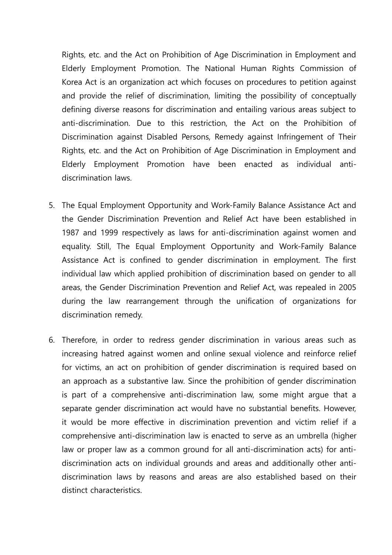Rights, etc. and the Act on Prohibition of Age Discrimination in Employment and Elderly Employment Promotion. The National Human Rights Commission of Korea Act is an organization act which focuses on procedures to petition against and provide the relief of discrimination, limiting the possibility of conceptually defining diverse reasons for discrimination and entailing various areas subject to anti-discrimination. Due to this restriction, the Act on the Prohibition of Discrimination against Disabled Persons, Remedy against Infringement of Their Rights, etc. and the Act on Prohibition of Age Discrimination in Employment and Elderly Employment Promotion have been enacted as individual antidiscrimination laws.

- 5. The Equal Employment Opportunity and Work-Family Balance Assistance Act and the Gender Discrimination Prevention and Relief Act have been established in 1987 and 1999 respectively as laws for anti-discrimination against women and equality. Still, The Equal Employment Opportunity and Work-Family Balance Assistance Act is confined to gender discrimination in employment. The first individual law which applied prohibition of discrimination based on gender to all areas, the Gender Discrimination Prevention and Relief Act, was repealed in 2005 during the law rearrangement through the unification of organizations for discrimination remedy.
- 6. Therefore, in order to redress gender discrimination in various areas such as increasing hatred against women and online sexual violence and reinforce relief for victims, an act on prohibition of gender discrimination is required based on an approach as a substantive law. Since the prohibition of gender discrimination is part of a comprehensive anti-discrimination law, some might argue that a separate gender discrimination act would have no substantial benefits. However, it would be more effective in discrimination prevention and victim relief if a comprehensive anti-discrimination law is enacted to serve as an umbrella (higher law or proper law as a common ground for all anti-discrimination acts) for antidiscrimination acts on individual grounds and areas and additionally other antidiscrimination laws by reasons and areas are also established based on their distinct characteristics.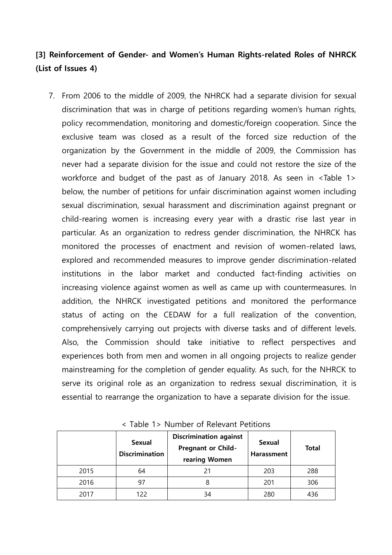# **[3] Reinforcement of Gender- and Women's Human Rights-related Roles of NHRCK (List of Issues 4)**

7. From 2006 to the middle of 2009, the NHRCK had a separate division for sexual discrimination that was in charge of petitions regarding women's human rights, policy recommendation, monitoring and domestic/foreign cooperation. Since the exclusive team was closed as a result of the forced size reduction of the organization by the Government in the middle of 2009, the Commission has never had a separate division for the issue and could not restore the size of the workforce and budget of the past as of January 2018. As seen in <Table 1> below, the number of petitions for unfair discrimination against women including sexual discrimination, sexual harassment and discrimination against pregnant or child-rearing women is increasing every year with a drastic rise last year in particular. As an organization to redress gender discrimination, the NHRCK has monitored the processes of enactment and revision of women-related laws, explored and recommended measures to improve gender discrimination-related institutions in the labor market and conducted fact-finding activities on increasing violence against women as well as came up with countermeasures. In addition, the NHRCK investigated petitions and monitored the performance status of acting on the CEDAW for a full realization of the convention, comprehensively carrying out projects with diverse tasks and of different levels. Also, the Commission should take initiative to reflect perspectives and experiences both from men and women in all ongoing projects to realize gender mainstreaming for the completion of gender equality. As such, for the NHRCK to serve its original role as an organization to redress sexual discrimination, it is essential to rearrange the organization to have a separate division for the issue.

|      | <b>Sexual</b><br><b>Discrimination</b> | <b>Discrimination against</b><br><b>Pregnant or Child-</b><br>rearing Women | <b>Sexual</b><br><b>Harassment</b> | <b>Total</b> |
|------|----------------------------------------|-----------------------------------------------------------------------------|------------------------------------|--------------|
| 2015 | 64                                     | 21                                                                          | 203                                | 288          |
| 2016 | 97                                     | 8                                                                           | 201                                | 306          |
| 2017 | 122                                    | 34                                                                          | 280                                | 436          |

< Table 1> Number of Relevant Petitions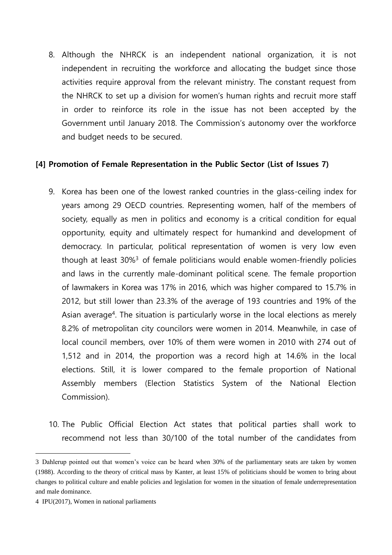8. Although the NHRCK is an independent national organization, it is not independent in recruiting the workforce and allocating the budget since those activities require approval from the relevant ministry. The constant request from the NHRCK to set up a division for women's human rights and recruit more staff in order to reinforce its role in the issue has not been accepted by the Government until January 2018. The Commission's autonomy over the workforce and budget needs to be secured.

### **[4] Promotion of Female Representation in the Public Sector (List of Issues 7)**

- 9. Korea has been one of the lowest ranked countries in the glass-ceiling index for years among 29 OECD countries. Representing women, half of the members of society, equally as men in politics and economy is a critical condition for equal opportunity, equity and ultimately respect for humankind and development of democracy. In particular, political representation of women is very low even though at least 30%<sup>3</sup> of female politicians would enable women-friendly policies and laws in the currently male-dominant political scene. The female proportion of lawmakers in Korea was 17% in 2016, which was higher compared to 15.7% in 2012, but still lower than 23.3% of the average of 193 countries and 19% of the Asian average<sup>4</sup>. The situation is particularly worse in the local elections as merely 8.2% of metropolitan city councilors were women in 2014. Meanwhile, in case of local council members, over 10% of them were women in 2010 with 274 out of 1,512 and in 2014, the proportion was a record high at 14.6% in the local elections. Still, it is lower compared to the female proportion of National Assembly members (Election Statistics System of the National Election Commission).
- 10. The Public Official Election Act states that political parties shall work to recommend not less than 30/100 of the total number of the candidates from

<sup>3</sup> Dahlerup pointed out that women's voice can be heard when 30% of the parliamentary seats are taken by women (1988). According to the theory of critical mass by Kanter, at least 15% of politicians should be women to bring about changes to political culture and enable policies and legislation for women in the situation of female underrepresentation and male dominance.

<sup>4</sup> IPU(2017), Women in national parliaments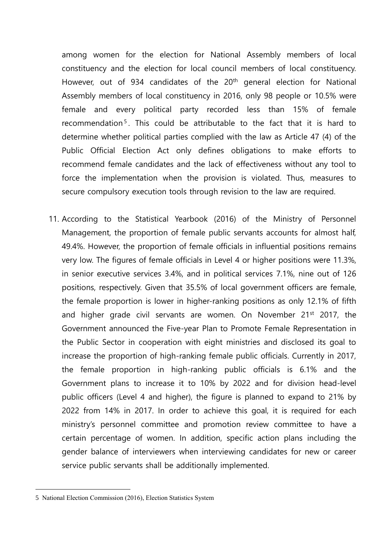among women for the election for National Assembly members of local constituency and the election for local council members of local constituency. However, out of 934 candidates of the 20<sup>th</sup> general election for National Assembly members of local constituency in 2016, only 98 people or 10.5% were female and every political party recorded less than 15% of female recommendation<sup>5</sup>. This could be attributable to the fact that it is hard to determine whether political parties complied with the law as Article 47 (4) of the Public Official Election Act only defines obligations to make efforts to recommend female candidates and the lack of effectiveness without any tool to force the implementation when the provision is violated. Thus, measures to secure compulsory execution tools through revision to the law are required.

11. According to the Statistical Yearbook (2016) of the Ministry of Personnel Management, the proportion of female public servants accounts for almost half, 49.4%. However, the proportion of female officials in influential positions remains very low. The figures of female officials in Level 4 or higher positions were 11.3%, in senior executive services 3.4%, and in political services 7.1%, nine out of 126 positions, respectively. Given that 35.5% of local government officers are female, the female proportion is lower in higher-ranking positions as only 12.1% of fifth and higher grade civil servants are women. On November 21<sup>st</sup> 2017, the Government announced the Five-year Plan to Promote Female Representation in the Public Sector in cooperation with eight ministries and disclosed its goal to increase the proportion of high-ranking female public officials. Currently in 2017, the female proportion in high-ranking public officials is 6.1% and the Government plans to increase it to 10% by 2022 and for division head-level public officers (Level 4 and higher), the figure is planned to expand to 21% by 2022 from 14% in 2017. In order to achieve this goal, it is required for each ministry's personnel committee and promotion review committee to have a certain percentage of women. In addition, specific action plans including the gender balance of interviewers when interviewing candidates for new or career service public servants shall be additionally implemented.

<sup>5</sup> National Election Commission (2016), Election Statistics System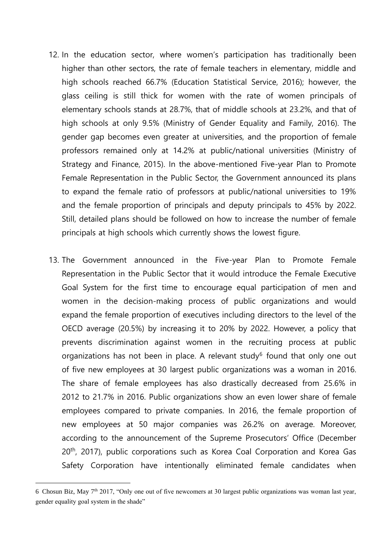- 12. In the education sector, where women's participation has traditionally been higher than other sectors, the rate of female teachers in elementary, middle and high schools reached 66.7% (Education Statistical Service, 2016); however, the glass ceiling is still thick for women with the rate of women principals of elementary schools stands at 28.7%, that of middle schools at 23.2%, and that of high schools at only 9.5% (Ministry of Gender Equality and Family, 2016). The gender gap becomes even greater at universities, and the proportion of female professors remained only at 14.2% at public/national universities (Ministry of Strategy and Finance, 2015). In the above-mentioned Five-year Plan to Promote Female Representation in the Public Sector, the Government announced its plans to expand the female ratio of professors at public/national universities to 19% and the female proportion of principals and deputy principals to 45% by 2022. Still, detailed plans should be followed on how to increase the number of female principals at high schools which currently shows the lowest figure.
- 13. The Government announced in the Five-year Plan to Promote Female Representation in the Public Sector that it would introduce the Female Executive Goal System for the first time to encourage equal participation of men and women in the decision-making process of public organizations and would expand the female proportion of executives including directors to the level of the OECD average (20.5%) by increasing it to 20% by 2022. However, a policy that prevents discrimination against women in the recruiting process at public organizations has not been in place. A relevant study $6$  found that only one out of five new employees at 30 largest public organizations was a woman in 2016. The share of female employees has also drastically decreased from 25.6% in 2012 to 21.7% in 2016. Public organizations show an even lower share of female employees compared to private companies. In 2016, the female proportion of new employees at 50 major companies was 26.2% on average. Moreover, according to the announcement of the Supreme Prosecutors' Office (December 20<sup>th</sup>, 2017), public corporations such as Korea Coal Corporation and Korea Gas Safety Corporation have intentionally eliminated female candidates when

<sup>6</sup> Chosun Biz, May  $7<sup>th</sup>$  2017, "Only one out of five newcomers at 30 largest public organizations was woman last year, gender equality goal system in the shade"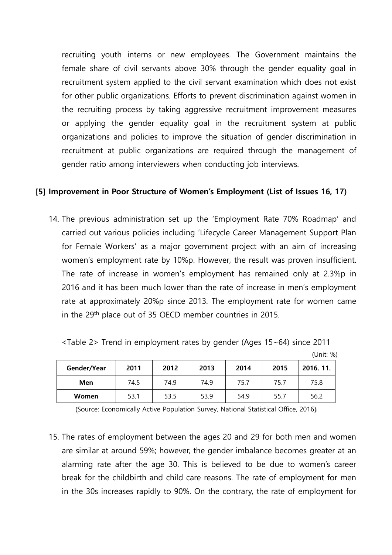recruiting youth interns or new employees. The Government maintains the female share of civil servants above 30% through the gender equality goal in recruitment system applied to the civil servant examination which does not exist for other public organizations. Efforts to prevent discrimination against women in the recruiting process by taking aggressive recruitment improvement measures or applying the gender equality goal in the recruitment system at public organizations and policies to improve the situation of gender discrimination in recruitment at public organizations are required through the management of gender ratio among interviewers when conducting job interviews.

#### **[5] Improvement in Poor Structure of Women's Employment (List of Issues 16, 17)**

14. The previous administration set up the 'Employment Rate 70% Roadmap' and carried out various policies including 'Lifecycle Career Management Support Plan for Female Workers' as a major government project with an aim of increasing women's employment rate by 10%p. However, the result was proven insufficient. The rate of increase in women's employment has remained only at 2.3%p in 2016 and it has been much lower than the rate of increase in men's employment rate at approximately 20%p since 2013. The employment rate for women came in the 29th place out of 35 OECD member countries in 2015.

|  |  |  | <table 2=""> Trend in employment rates by gender (Ages 15~64) since 2011</table> |
|--|--|--|----------------------------------------------------------------------------------|
|--|--|--|----------------------------------------------------------------------------------|

| Gender/Year | 2011 | 2012 | 2013 | 2014 | 2015 | 2016.11. |
|-------------|------|------|------|------|------|----------|
| Men         | 74.5 | 74.9 | 74.9 | 75.7 | 75.7 | 75.8     |
| Women       | 53.1 | 53.5 | 53.9 | 54.9 | 55.7 | 56.2     |

(Unit: %)

(Source: Economically Active Population Survey, National Statistical Office, 2016)

15. The rates of employment between the ages 20 and 29 for both men and women are similar at around 59%; however, the gender imbalance becomes greater at an alarming rate after the age 30. This is believed to be due to women's career break for the childbirth and child care reasons. The rate of employment for men in the 30s increases rapidly to 90%. On the contrary, the rate of employment for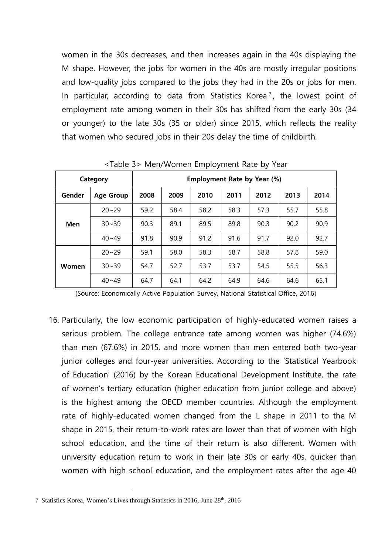women in the 30s decreases, and then increases again in the 40s displaying the M shape. However, the jobs for women in the 40s are mostly irregular positions and low-quality jobs compared to the jobs they had in the 20s or jobs for men. In particular, according to data from Statistics Korea<sup>7</sup>, the lowest point of employment rate among women in their 30s has shifted from the early 30s (34 or younger) to the late 30s (35 or older) since 2015, which reflects the reality that women who secured jobs in their 20s delay the time of childbirth.

|        | Category         | Employment Rate by Year (%) |      |      |      |      |      |      |
|--------|------------------|-----------------------------|------|------|------|------|------|------|
| Gender | <b>Age Group</b> | 2008                        | 2009 | 2010 | 2011 | 2012 | 2013 | 2014 |
|        | $20 - 29$        | 59.2                        | 58.4 | 58.2 | 58.3 | 57.3 | 55.7 | 55.8 |
| Men    | $30 - 39$        | 90.3                        | 89.1 | 89.5 | 89.8 | 90.3 | 90.2 | 90.9 |
|        | $40 - 49$        | 91.8                        | 90.9 | 91.2 | 91.6 | 91.7 | 92.0 | 92.7 |
|        | $20 - 29$        | 59.1                        | 58.0 | 58.3 | 58.7 | 58.8 | 57.8 | 59.0 |
| Women  | $30 - 39$        | 54.7                        | 52.7 | 53.7 | 53.7 | 54.5 | 55.5 | 56.3 |
|        | $40 - 49$        | 64.7                        | 64.1 | 64.2 | 64.9 | 64.6 | 64.6 | 65.1 |

<Table 3> Men/Women Employment Rate by Year

(Source: Economically Active Population Survey, National Statistical Office, 2016)

16. Particularly, the low economic participation of highly-educated women raises a serious problem. The college entrance rate among women was higher (74.6%) than men (67.6%) in 2015, and more women than men entered both two-year junior colleges and four-year universities. According to the 'Statistical Yearbook of Education' (2016) by the Korean Educational Development Institute, the rate of women's tertiary education (higher education from junior college and above) is the highest among the OECD member countries. Although the employment rate of highly-educated women changed from the L shape in 2011 to the M shape in 2015, their return-to-work rates are lower than that of women with high school education, and the time of their return is also different. Women with university education return to work in their late 30s or early 40s, quicker than women with high school education, and the employment rates after the age 40

<sup>7</sup> Statistics Korea, Women's Lives through Statistics in 2016, June 28th, 2016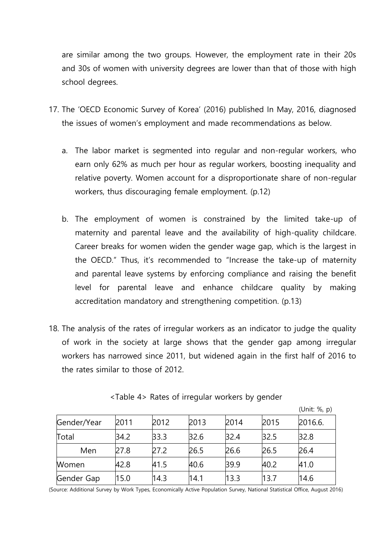are similar among the two groups. However, the employment rate in their 20s and 30s of women with university degrees are lower than that of those with high school degrees.

- 17. The 'OECD Economic Survey of Korea' (2016) published In May, 2016, diagnosed the issues of women's employment and made recommendations as below.
	- a. The labor market is segmented into regular and non-regular workers, who earn only 62% as much per hour as regular workers, boosting inequality and relative poverty. Women account for a disproportionate share of non-regular workers, thus discouraging female employment. (p.12)
	- b. The employment of women is constrained by the limited take-up of maternity and parental leave and the availability of high-quality childcare. Career breaks for women widen the gender wage gap, which is the largest in the OECD." Thus, it's recommended to "Increase the take-up of maternity and parental leave systems by enforcing compliance and raising the benefit level for parental leave and enhance childcare quality by making accreditation mandatory and strengthening competition. (p.13)
- 18. The analysis of the rates of irregular workers as an indicator to judge the quality of work in the society at large shows that the gender gap among irregular workers has narrowed since 2011, but widened again in the first half of 2016 to the rates similar to those of 2012.

|             |      |      |      |      |      | (Unit: %, p) |
|-------------|------|------|------|------|------|--------------|
| Gender/Year | 2011 | 2012 | 2013 | 2014 | 2015 | 2016.6.      |
| Total       | 34.2 | 33.3 | 32.6 | 32.4 | 32.5 | 32.8         |
| Men         | 27.8 | 27.2 | 26.5 | 26.6 | 26.5 | 26.4         |
| Women       | 42.8 | 41.5 | 40.6 | 39.9 | 40.2 | 41.0         |
| Gender Gap  | 15.0 | 14.3 | 14.1 | 13.3 | 13.7 | 14.6         |

<Table 4> Rates of irregular workers by gender

(Source: Additional Survey by Work Types, Economically Active Population Survey, National Statistical Office, August 2016)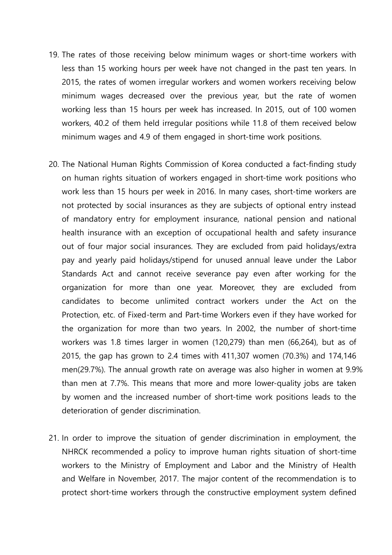- 19. The rates of those receiving below minimum wages or short-time workers with less than 15 working hours per week have not changed in the past ten years. In 2015, the rates of women irregular workers and women workers receiving below minimum wages decreased over the previous year, but the rate of women working less than 15 hours per week has increased. In 2015, out of 100 women workers, 40.2 of them held irregular positions while 11.8 of them received below minimum wages and 4.9 of them engaged in short-time work positions.
- 20. The National Human Rights Commission of Korea conducted a fact-finding study on human rights situation of workers engaged in short-time work positions who work less than 15 hours per week in 2016. In many cases, short-time workers are not protected by social insurances as they are subjects of optional entry instead of mandatory entry for employment insurance, national pension and national health insurance with an exception of occupational health and safety insurance out of four major social insurances. They are excluded from paid holidays/extra pay and yearly paid holidays/stipend for unused annual leave under the Labor Standards Act and cannot receive severance pay even after working for the organization for more than one year. Moreover, they are excluded from candidates to become unlimited contract workers under the Act on the Protection, etc. of Fixed-term and Part-time Workers even if they have worked for the organization for more than two years. In 2002, the number of short-time workers was 1.8 times larger in women (120,279) than men (66,264), but as of 2015, the gap has grown to 2.4 times with 411,307 women (70.3%) and 174,146 men(29.7%). The annual growth rate on average was also higher in women at 9.9% than men at 7.7%. This means that more and more lower-quality jobs are taken by women and the increased number of short-time work positions leads to the deterioration of gender discrimination.
- 21. In order to improve the situation of gender discrimination in employment, the NHRCK recommended a policy to improve human rights situation of short-time workers to the Ministry of Employment and Labor and the Ministry of Health and Welfare in November, 2017. The major content of the recommendation is to protect short-time workers through the constructive employment system defined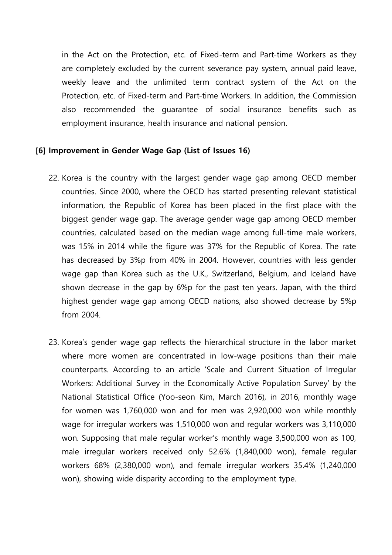in the Act on the Protection, etc. of Fixed-term and Part-time Workers as they are completely excluded by the current severance pay system, annual paid leave, weekly leave and the unlimited term contract system of the Act on the Protection, etc. of Fixed-term and Part-time Workers. In addition, the Commission also recommended the guarantee of social insurance benefits such as employment insurance, health insurance and national pension.

#### **[6] Improvement in Gender Wage Gap (List of Issues 16)**

- 22. Korea is the country with the largest gender wage gap among OECD member countries. Since 2000, where the OECD has started presenting relevant statistical information, the Republic of Korea has been placed in the first place with the biggest gender wage gap. The average gender wage gap among OECD member countries, calculated based on the median wage among full-time male workers, was 15% in 2014 while the figure was 37% for the Republic of Korea. The rate has decreased by 3%p from 40% in 2004. However, countries with less gender wage gap than Korea such as the U.K., Switzerland, Belgium, and Iceland have shown decrease in the gap by 6%p for the past ten years. Japan, with the third highest gender wage gap among OECD nations, also showed decrease by 5%p from 2004.
- 23. Korea's gender wage gap reflects the hierarchical structure in the labor market where more women are concentrated in low-wage positions than their male counterparts. According to an article 'Scale and Current Situation of Irregular Workers: Additional Survey in the Economically Active Population Survey' by the National Statistical Office (Yoo-seon Kim, March 2016), in 2016, monthly wage for women was 1,760,000 won and for men was 2,920,000 won while monthly wage for irregular workers was 1,510,000 won and regular workers was 3,110,000 won. Supposing that male regular worker's monthly wage 3,500,000 won as 100, male irregular workers received only 52.6% (1,840,000 won), female regular workers 68% (2,380,000 won), and female irregular workers 35.4% (1,240,000 won), showing wide disparity according to the employment type.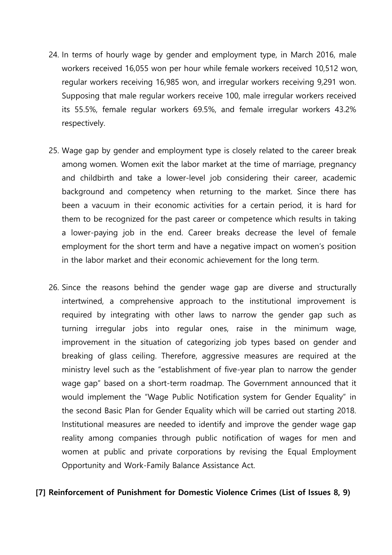- 24. In terms of hourly wage by gender and employment type, in March 2016, male workers received 16,055 won per hour while female workers received 10,512 won, regular workers receiving 16,985 won, and irregular workers receiving 9,291 won. Supposing that male regular workers receive 100, male irregular workers received its 55.5%, female regular workers 69.5%, and female irregular workers 43.2% respectively.
- 25. Wage gap by gender and employment type is closely related to the career break among women. Women exit the labor market at the time of marriage, pregnancy and childbirth and take a lower-level job considering their career, academic background and competency when returning to the market. Since there has been a vacuum in their economic activities for a certain period, it is hard for them to be recognized for the past career or competence which results in taking a lower-paying job in the end. Career breaks decrease the level of female employment for the short term and have a negative impact on women's position in the labor market and their economic achievement for the long term.
- 26. Since the reasons behind the gender wage gap are diverse and structurally intertwined, a comprehensive approach to the institutional improvement is required by integrating with other laws to narrow the gender gap such as turning irregular jobs into regular ones, raise in the minimum wage, improvement in the situation of categorizing job types based on gender and breaking of glass ceiling. Therefore, aggressive measures are required at the ministry level such as the "establishment of five-year plan to narrow the gender wage gap" based on a short-term roadmap. The Government announced that it would implement the "Wage Public Notification system for Gender Equality" in the second Basic Plan for Gender Equality which will be carried out starting 2018. Institutional measures are needed to identify and improve the gender wage gap reality among companies through public notification of wages for men and women at public and private corporations by revising the Equal Employment Opportunity and Work-Family Balance Assistance Act.

### **[7] Reinforcement of Punishment for Domestic Violence Crimes (List of Issues 8, 9)**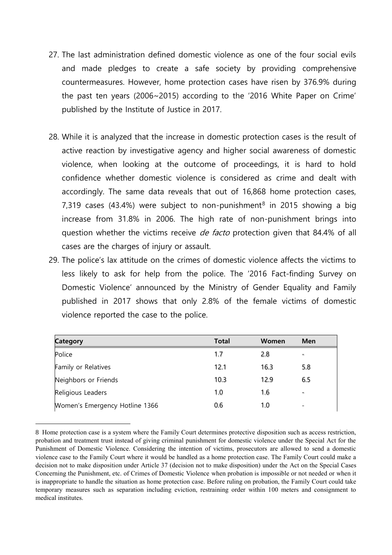- 27. The last administration defined domestic violence as one of the four social evils and made pledges to create a safe society by providing comprehensive countermeasures. However, home protection cases have risen by 376.9% during the past ten years (2006~2015) according to the '2016 White Paper on Crime' published by the Institute of Justice in 2017.
- 28. While it is analyzed that the increase in domestic protection cases is the result of active reaction by investigative agency and higher social awareness of domestic violence, when looking at the outcome of proceedings, it is hard to hold confidence whether domestic violence is considered as crime and dealt with accordingly. The same data reveals that out of 16,868 home protection cases, 7,319 cases (43.4%) were subject to non-punishment<sup>8</sup> in 2015 showing a big increase from 31.8% in 2006. The high rate of non-punishment brings into question whether the victims receive *de facto* protection given that 84.4% of all cases are the charges of injury or assault.
- 29. The police's lax attitude on the crimes of domestic violence affects the victims to less likely to ask for help from the police. The '2016 Fact-finding Survey on Domestic Violence' announced by the Ministry of Gender Equality and Family published in 2017 shows that only 2.8% of the female victims of domestic violence reported the case to the police.

| <b>Category</b>                | <b>Total</b> | Women | <b>Men</b>               |
|--------------------------------|--------------|-------|--------------------------|
| Police                         | 1.7          | 2.8   |                          |
| Family or Relatives            | 12.1         | 16.3  | 5.8                      |
| Neighbors or Friends           | 10.3         | 12.9  | 6.5                      |
| Religious Leaders              | 1.0          | 1.6   | -                        |
| Women's Emergency Hotline 1366 | 0.6          | 1.0   | $\overline{\phantom{a}}$ |

<sup>8</sup> Home protection case is a system where the Family Court determines protective disposition such as access restriction, probation and treatment trust instead of giving criminal punishment for domestic violence under the Special Act for the Punishment of Domestic Violence. Considering the intention of victims, prosecutors are allowed to send a domestic violence case to the Family Court where it would be handled as a home protection case. The Family Court could make a decision not to make disposition under Article 37 (decision not to make disposition) under the Act on the Special Cases Concerning the Punishment, etc. of Crimes of Domestic Violence when probation is impossible or not needed or when it is inappropriate to handle the situation as home protection case. Before ruling on probation, the Family Court could take temporary measures such as separation including eviction, restraining order within 100 meters and consignment to medical institutes.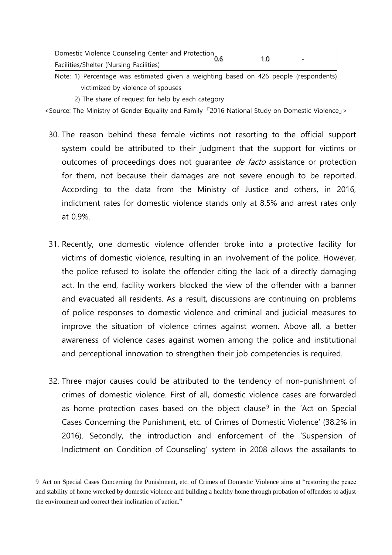| Domestic Violence Counseling Center and Protection | 0.6 |                          |
|----------------------------------------------------|-----|--------------------------|
| Facilities/Shelter (Nursing Facilities)            |     | $\overline{\phantom{0}}$ |

Note: 1) Percentage was estimated given a weighting based on 426 people (respondents) victimized by violence of spouses

2) The share of request for help by each category

<Source: The Ministry of Gender Equality and Family 「2016 National Study on Domestic Violence」>

- 30. The reason behind these female victims not resorting to the official support system could be attributed to their judgment that the support for victims or outcomes of proceedings does not quarantee *de facto* assistance or protection for them, not because their damages are not severe enough to be reported. According to the data from the Ministry of Justice and others, in 2016, indictment rates for domestic violence stands only at 8.5% and arrest rates only at 0.9%.
- 31. Recently, one domestic violence offender broke into a protective facility for victims of domestic violence, resulting in an involvement of the police. However, the police refused to isolate the offender citing the lack of a directly damaging act. In the end, facility workers blocked the view of the offender with a banner and evacuated all residents. As a result, discussions are continuing on problems of police responses to domestic violence and criminal and judicial measures to improve the situation of violence crimes against women. Above all, a better awareness of violence cases against women among the police and institutional and perceptional innovation to strengthen their job competencies is required.
- 32. Three major causes could be attributed to the tendency of non-punishment of crimes of domestic violence. First of all, domestic violence cases are forwarded as home protection cases based on the object clause<sup>9</sup> in the 'Act on Special Cases Concerning the Punishment, etc. of Crimes of Domestic Violence' (38.2% in 2016). Secondly, the introduction and enforcement of the 'Suspension of Indictment on Condition of Counseling' system in 2008 allows the assailants to

<sup>9</sup> Act on Special Cases Concerning the Punishment, etc. of Crimes of Domestic Violence aims at "restoring the peace and stability of home wrecked by domestic violence and building a healthy home through probation of offenders to adjust the environment and correct their inclination of action."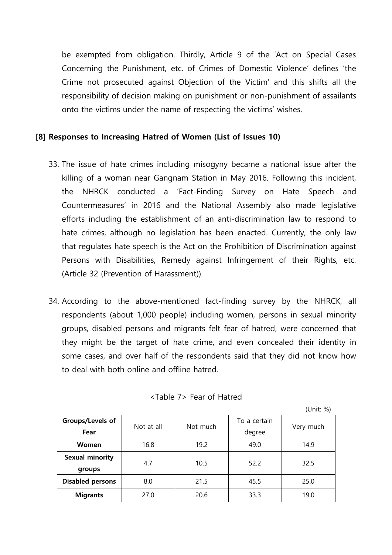be exempted from obligation. Thirdly, Article 9 of the 'Act on Special Cases Concerning the Punishment, etc. of Crimes of Domestic Violence' defines 'the Crime not prosecuted against Objection of the Victim' and this shifts all the responsibility of decision making on punishment or non-punishment of assailants onto the victims under the name of respecting the victims' wishes.

## **[8] Responses to Increasing Hatred of Women (List of Issues 10)**

- 33. The issue of hate crimes including misogyny became a national issue after the killing of a woman near Gangnam Station in May 2016. Following this incident, the NHRCK conducted a 'Fact-Finding Survey on Hate Speech and Countermeasures' in 2016 and the National Assembly also made legislative efforts including the establishment of an anti-discrimination law to respond to hate crimes, although no legislation has been enacted. Currently, the only law that regulates hate speech is the Act on the Prohibition of Discrimination against Persons with Disabilities, Remedy against Infringement of their Rights, etc. (Article 32 (Prevention of Harassment)).
- 34. According to the above-mentioned fact-finding survey by the NHRCK, all respondents (about 1,000 people) including women, persons in sexual minority groups, disabled persons and migrants felt fear of hatred, were concerned that they might be the target of hate crime, and even concealed their identity in some cases, and over half of the respondents said that they did not know how to deal with both online and offline hatred.

| <table 7=""> Fear of Hatred</table> |  |  |
|-------------------------------------|--|--|
|-------------------------------------|--|--|

 $(1 \text{Init: } %)$ 

| Groups/Levels of<br>Fear         | Not at all | Not much | To a certain<br>degree | Very much |
|----------------------------------|------------|----------|------------------------|-----------|
| Women                            | 16.8       | 19.2     | 49.0                   | 14.9      |
| <b>Sexual minority</b><br>groups | 4.7        | 10.5     | 52.2                   | 32.5      |
| <b>Disabled persons</b>          | 8.0        | 21.5     | 45.5                   | 25.0      |
| <b>Migrants</b>                  | 27.0       | 20.6     | 33.3                   | 19.0      |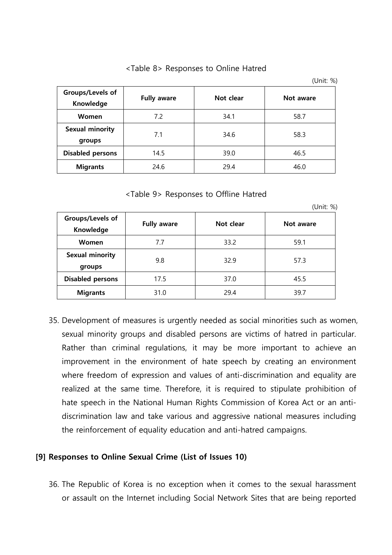|                                  |                    |           | (UHIL 70) |
|----------------------------------|--------------------|-----------|-----------|
| Groups/Levels of<br>Knowledge    | <b>Fully aware</b> | Not clear | Not aware |
| <b>Women</b>                     | 7.2                | 34.1      | 58.7      |
| <b>Sexual minority</b><br>groups | 7.1                | 34.6      | 58.3      |
| <b>Disabled persons</b>          | 14.5               | 39.0      | 46.5      |
| <b>Migrants</b>                  | 24.6               | 29.4      | 46.0      |

<Table 8> Responses to Online Hatred

 $(1 \text{ln} \, \text{ln} \cdot 0)$ 

<Table 9> Responses to Offline Hatred

|                                  |                    |           | (Unit: %) |
|----------------------------------|--------------------|-----------|-----------|
| Groups/Levels of<br>Knowledge    | <b>Fully aware</b> | Not clear | Not aware |
| Women                            | 7.7                | 33.2      | 59.1      |
| <b>Sexual minority</b><br>groups | 9.8                | 32.9      | 57.3      |
| <b>Disabled persons</b>          | 17.5               | 37.0      | 45.5      |
| <b>Migrants</b>                  | 31.0               | 29.4      | 39.7      |

35. Development of measures is urgently needed as social minorities such as women, sexual minority groups and disabled persons are victims of hatred in particular. Rather than criminal regulations, it may be more important to achieve an improvement in the environment of hate speech by creating an environment where freedom of expression and values of anti-discrimination and equality are realized at the same time. Therefore, it is required to stipulate prohibition of hate speech in the National Human Rights Commission of Korea Act or an antidiscrimination law and take various and aggressive national measures including the reinforcement of equality education and anti-hatred campaigns.

### **[9] Responses to Online Sexual Crime (List of Issues 10)**

36. The Republic of Korea is no exception when it comes to the sexual harassment or assault on the Internet including Social Network Sites that are being reported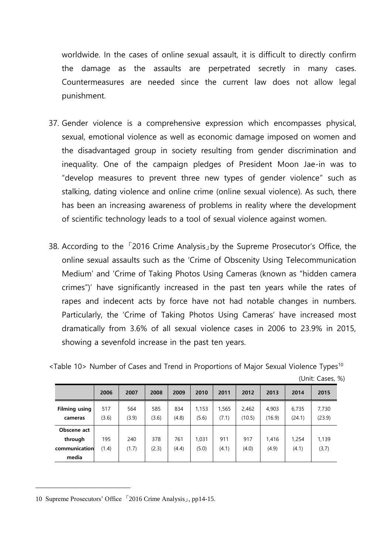worldwide. In the cases of online sexual assault, it is difficult to directly confirm the damage as the assaults are perpetrated secretly in many cases. Countermeasures are needed since the current law does not allow legal punishment.

- 37. Gender violence is a comprehensive expression which encompasses physical, sexual, emotional violence as well as economic damage imposed on women and the disadvantaged group in society resulting from gender discrimination and inequality. One of the campaign pledges of President Moon Jae-in was to "develop measures to prevent three new types of gender violence" such as stalking, dating violence and online crime (online sexual violence). As such, there has been an increasing awareness of problems in reality where the development of scientific technology leads to a tool of sexual violence against women.
- 38. According to the 「2016 Crime Analysis」by the Supreme Prosecutor's Office, the online sexual assaults such as the 'Crime of Obscenity Using Telecommunication Medium' and 'Crime of Taking Photos Using Cameras (known as "hidden camera crimes")' have significantly increased in the past ten years while the rates of rapes and indecent acts by force have not had notable changes in numbers. Particularly, the 'Crime of Taking Photos Using Cameras' have increased most dramatically from 3.6% of all sexual violence cases in 2006 to 23.9% in 2015, showing a sevenfold increase in the past ten years.

|                                         | 2006         | 2007         | 2008         | 2009         | 2010           | 2011           | 2012            | 2013            | 2014            | 2015            |
|-----------------------------------------|--------------|--------------|--------------|--------------|----------------|----------------|-----------------|-----------------|-----------------|-----------------|
| <b>Filming using</b><br>cameras         | 517<br>(3.6) | 564<br>(3.9) | 585<br>(3.6) | 834<br>(4.8) | 1,153<br>(5.6) | 1,565<br>(7.1) | 2,462<br>(10.5) | 4,903<br>(16.9) | 6,735<br>(24.1) | 7,730<br>(23.9) |
| Obscene act<br>through<br>communication | 195<br>(1.4) | 240<br>(1.7) | 378<br>(2.3) | 761<br>(4.4) | 1.031<br>(5.0) | 911<br>(4.1)   | 917<br>(4.0)    | 1,416<br>(4.9)  | 1,254<br>(4.1)  | 1,139<br>(3,7)  |
| media                                   |              |              |              |              |                |                |                 |                 |                 |                 |

<Table 10> Number of Cases and Trend in Proportions of Major Sexual Violence Types<sup>10</sup>

(Unit: Cases, %)

10 Supreme Prosecutors' Office <sup>[2016]</sup> Crime Analysis<sub>1</sub>, pp14-15.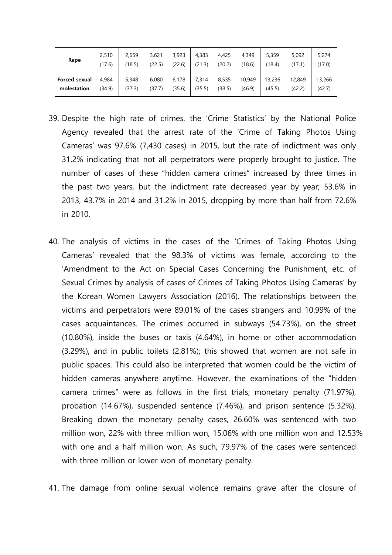| Rape          | 2,510  | 2.659  | 3.621  | 3,923  | 4,383  | 4.425  | 4.349  | 5,359  | 5,092  | 5,274  |
|---------------|--------|--------|--------|--------|--------|--------|--------|--------|--------|--------|
|               | (17.6) | (18.5) | (22.5) | (22.6) | (21.3) | (20.2) | (18.6) | (18.4) | (17.1) | (17.0) |
| Forced sexual | 4.984  | 5,348  | 6,080  | 6.178  | 7,314  | 8,535  | 10.949 | 13,236 | 12,849 | 13,266 |
| molestation   | (34.9) | (37.3) | (37.7) | (35.6) | (35.5) | (38.5) | (46.9) | (45.5) | (42.2) | (42.7) |

- 39. Despite the high rate of crimes, the 'Crime Statistics' by the National Police Agency revealed that the arrest rate of the 'Crime of Taking Photos Using Cameras' was 97.6% (7,430 cases) in 2015, but the rate of indictment was only 31.2% indicating that not all perpetrators were properly brought to justice. The number of cases of these "hidden camera crimes" increased by three times in the past two years, but the indictment rate decreased year by year; 53.6% in 2013, 43.7% in 2014 and 31.2% in 2015, dropping by more than half from 72.6% in 2010.
- 40. The analysis of victims in the cases of the 'Crimes of Taking Photos Using Cameras' revealed that the 98.3% of victims was female, according to the 'Amendment to the Act on Special Cases Concerning the Punishment, etc. of Sexual Crimes by analysis of cases of Crimes of Taking Photos Using Cameras' by the Korean Women Lawyers Association (2016). The relationships between the victims and perpetrators were 89.01% of the cases strangers and 10.99% of the cases acquaintances. The crimes occurred in subways (54.73%), on the street (10.80%), inside the buses or taxis (4.64%), in home or other accommodation (3.29%), and in public toilets (2.81%); this showed that women are not safe in public spaces. This could also be interpreted that women could be the victim of hidden cameras anywhere anytime. However, the examinations of the "hidden camera crimes" were as follows in the first trials; monetary penalty (71.97%), probation (14.67%), suspended sentence (7.46%), and prison sentence (5.32%). Breaking down the monetary penalty cases, 26.60% was sentenced with two million won, 22% with three million won, 15.06% with one million won and 12.53% with one and a half million won. As such, 79.97% of the cases were sentenced with three million or lower won of monetary penalty.

41. The damage from online sexual violence remains grave after the closure of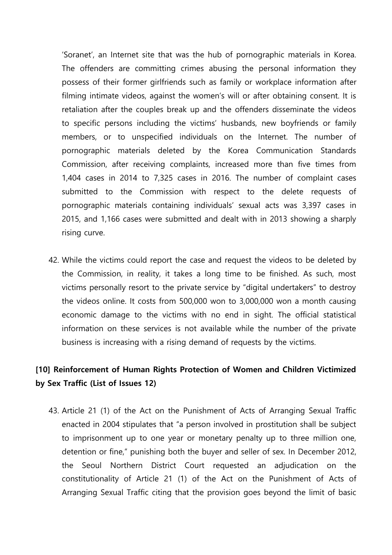'Soranet', an Internet site that was the hub of pornographic materials in Korea. The offenders are committing crimes abusing the personal information they possess of their former girlfriends such as family or workplace information after filming intimate videos, against the women's will or after obtaining consent. It is retaliation after the couples break up and the offenders disseminate the videos to specific persons including the victims' husbands, new boyfriends or family members, or to unspecified individuals on the Internet. The number of pornographic materials deleted by the Korea Communication Standards Commission, after receiving complaints, increased more than five times from 1,404 cases in 2014 to 7,325 cases in 2016. The number of complaint cases submitted to the Commission with respect to the delete requests of pornographic materials containing individuals' sexual acts was 3,397 cases in 2015, and 1,166 cases were submitted and dealt with in 2013 showing a sharply rising curve.

42. While the victims could report the case and request the videos to be deleted by the Commission, in reality, it takes a long time to be finished. As such, most victims personally resort to the private service by "digital undertakers" to destroy the videos online. It costs from 500,000 won to 3,000,000 won a month causing economic damage to the victims with no end in sight. The official statistical information on these services is not available while the number of the private business is increasing with a rising demand of requests by the victims.

## **[10] Reinforcement of Human Rights Protection of Women and Children Victimized by Sex Traffic (List of Issues 12)**

43. Article 21 (1) of the Act on the Punishment of Acts of Arranging Sexual Traffic enacted in 2004 stipulates that "a person involved in prostitution shall be subject to imprisonment up to one year or monetary penalty up to three million one, detention or fine," punishing both the buyer and seller of sex. In December 2012, the Seoul Northern District Court requested an adjudication on the constitutionality of Article 21 (1) of the Act on the Punishment of Acts of Arranging Sexual Traffic citing that the provision goes beyond the limit of basic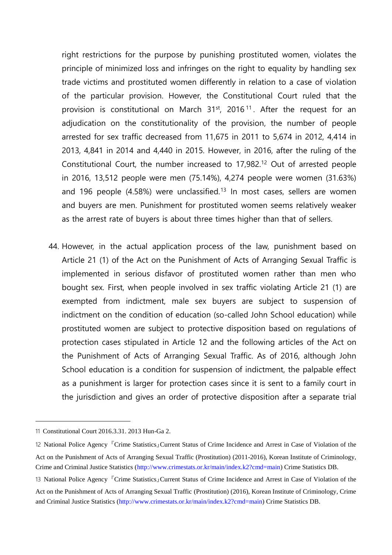right restrictions for the purpose by punishing prostituted women, violates the principle of minimized loss and infringes on the right to equality by handling sex trade victims and prostituted women differently in relation to a case of violation of the particular provision. However, the Constitutional Court ruled that the provision is constitutional on March  $31<sup>st</sup>$ , 2016<sup>11</sup>. After the request for an adjudication on the constitutionality of the provision, the number of people arrested for sex traffic decreased from 11,675 in 2011 to 5,674 in 2012, 4,414 in 2013, 4,841 in 2014 and 4,440 in 2015. However, in 2016, after the ruling of the Constitutional Court, the number increased to 17,982.<sup>12</sup> Out of arrested people in 2016, 13,512 people were men (75.14%), 4,274 people were women (31.63%) and 196 people  $(4.58\%)$  were unclassified.<sup>13</sup> In most cases, sellers are women and buyers are men. Punishment for prostituted women seems relatively weaker as the arrest rate of buyers is about three times higher than that of sellers.

44. However, in the actual application process of the law, punishment based on Article 21 (1) of the Act on the Punishment of Acts of Arranging Sexual Traffic is implemented in serious disfavor of prostituted women rather than men who bought sex. First, when people involved in sex traffic violating Article 21 (1) are exempted from indictment, male sex buyers are subject to suspension of indictment on the condition of education (so-called John School education) while prostituted women are subject to protective disposition based on regulations of protection cases stipulated in Article 12 and the following articles of the Act on the Punishment of Acts of Arranging Sexual Traffic. As of 2016, although John School education is a condition for suspension of indictment, the palpable effect as a punishment is larger for protection cases since it is sent to a family court in the jurisdiction and gives an order of protective disposition after a separate trial

<sup>11</sup> Constitutional Court 2016.3.31. 2013 Hun-Ga 2.

<sup>12</sup> National Police Agency 『Crime Statistics』Current Status of Crime Incidence and Arrest in Case of Violation of the Act on the Punishment of Acts of Arranging Sexual Traffic (Prostitution) (2011-2016), Korean Institute of Criminology, Crime and Criminal Justice Statistics (http://www.crimestats.or.kr/main/index.k2?cmd=main) Crime Statistics DB.

<sup>13</sup> National Police Agency <sup>『</sup>Crime Statistics』Current Status of Crime Incidence and Arrest in Case of Violation of the Act on the Punishment of Acts of Arranging Sexual Traffic (Prostitution) (2016), Korean Institute of Criminology, Crime and Criminal Justice Statistics (http://www.crimestats.or.kr/main/index.k2?cmd=main) Crime Statistics DB.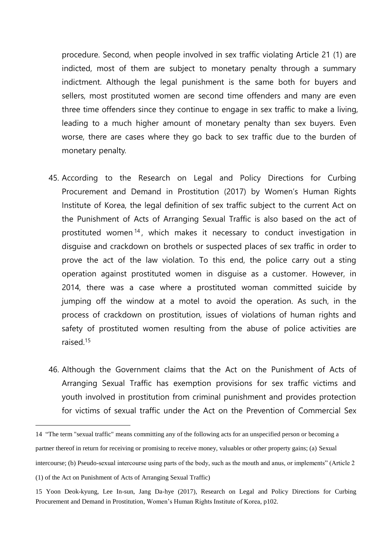procedure. Second, when people involved in sex traffic violating Article 21 (1) are indicted, most of them are subject to monetary penalty through a summary indictment. Although the legal punishment is the same both for buyers and sellers, most prostituted women are second time offenders and many are even three time offenders since they continue to engage in sex traffic to make a living, leading to a much higher amount of monetary penalty than sex buyers. Even worse, there are cases where they go back to sex traffic due to the burden of monetary penalty.

- 45. According to the Research on Legal and Policy Directions for Curbing Procurement and Demand in Prostitution (2017) by Women's Human Rights Institute of Korea, the legal definition of sex traffic subject to the current Act on the Punishment of Acts of Arranging Sexual Traffic is also based on the act of prostituted women <sup>14</sup> , which makes it necessary to conduct investigation in disguise and crackdown on brothels or suspected places of sex traffic in order to prove the act of the law violation. To this end, the police carry out a sting operation against prostituted women in disguise as a customer. However, in 2014, there was a case where a prostituted woman committed suicide by jumping off the window at a motel to avoid the operation. As such, in the process of crackdown on prostitution, issues of violations of human rights and safety of prostituted women resulting from the abuse of police activities are raised.<sup>15</sup>
- 46. Although the Government claims that the Act on the Punishment of Acts of Arranging Sexual Traffic has exemption provisions for sex traffic victims and youth involved in prostitution from criminal punishment and provides protection for victims of sexual traffic under the Act on the Prevention of Commercial Sex

<sup>14</sup> "The term "sexual traffic" means committing any of the following acts for an unspecified person or becoming a partner thereof in return for receiving or promising to receive money, valuables or other property gains; (a) Sexual intercourse; (b) Pseudo-sexual intercourse using parts of the body, such as the mouth and anus, or implements" (Article 2

<sup>(1)</sup> of the Act on Punishment of Acts of Arranging Sexual Traffic)

<sup>15</sup> Yoon Deok-kyung, Lee In-sun, Jang Da-hye (2017), Research on Legal and Policy Directions for Curbing Procurement and Demand in Prostitution, Women's Human Rights Institute of Korea, p102.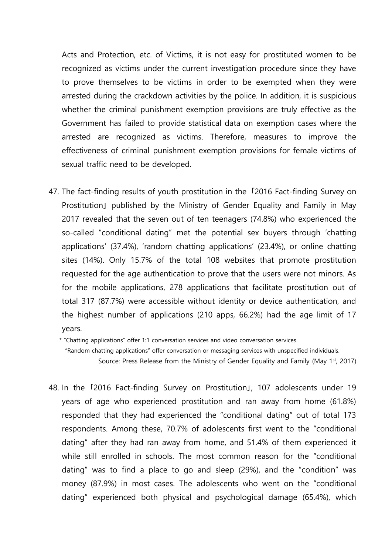Acts and Protection, etc. of Victims, it is not easy for prostituted women to be recognized as victims under the current investigation procedure since they have to prove themselves to be victims in order to be exempted when they were arrested during the crackdown activities by the police. In addition, it is suspicious whether the criminal punishment exemption provisions are truly effective as the Government has failed to provide statistical data on exemption cases where the arrested are recognized as victims. Therefore, measures to improve the effectiveness of criminal punishment exemption provisions for female victims of sexual traffic need to be developed.

47. The fact-finding results of youth prostitution in the 「2016 Fact-finding Survey on Prostitution」 published by the Ministry of Gender Equality and Family in May 2017 revealed that the seven out of ten teenagers (74.8%) who experienced the so-called "conditional dating" met the potential sex buyers through 'chatting applications' (37.4%), 'random chatting applications' (23.4%), or online chatting sites (14%). Only 15.7% of the total 108 websites that promote prostitution requested for the age authentication to prove that the users were not minors. As for the mobile applications, 278 applications that facilitate prostitution out of total 317 (87.7%) were accessible without identity or device authentication, and the highest number of applications (210 apps, 66.2%) had the age limit of 17 years.

\* "Chatting applications" offer 1:1 conversation services and video conversation services.

"Random chatting applications" offer conversation or messaging services with unspecified individuals.

Source: Press Release from the Ministry of Gender Equality and Family (May 1st, 2017)

48. In the 「2016 Fact-finding Survey on Prostitution」, 107 adolescents under 19 years of age who experienced prostitution and ran away from home (61.8%) responded that they had experienced the "conditional dating" out of total 173 respondents. Among these, 70.7% of adolescents first went to the "conditional dating" after they had ran away from home, and 51.4% of them experienced it while still enrolled in schools. The most common reason for the "conditional dating" was to find a place to go and sleep (29%), and the "condition" was money (87.9%) in most cases. The adolescents who went on the "conditional dating" experienced both physical and psychological damage (65.4%), which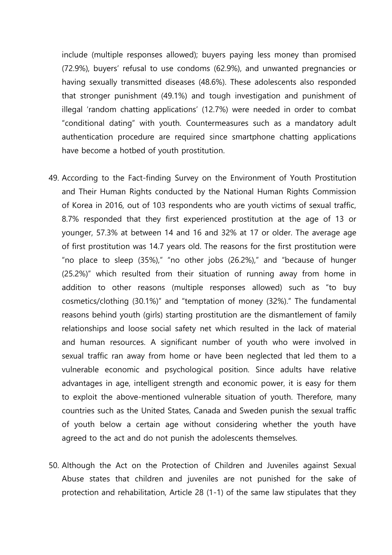include (multiple responses allowed); buyers paying less money than promised (72.9%), buyers' refusal to use condoms (62.9%), and unwanted pregnancies or having sexually transmitted diseases (48.6%). These adolescents also responded that stronger punishment (49.1%) and tough investigation and punishment of illegal 'random chatting applications' (12.7%) were needed in order to combat "conditional dating" with youth. Countermeasures such as a mandatory adult authentication procedure are required since smartphone chatting applications have become a hotbed of youth prostitution.

- 49. According to the Fact-finding Survey on the Environment of Youth Prostitution and Their Human Rights conducted by the National Human Rights Commission of Korea in 2016, out of 103 respondents who are youth victims of sexual traffic, 8.7% responded that they first experienced prostitution at the age of 13 or younger, 57.3% at between 14 and 16 and 32% at 17 or older. The average age of first prostitution was 14.7 years old. The reasons for the first prostitution were "no place to sleep (35%)," "no other jobs (26.2%)," and "because of hunger (25.2%)" which resulted from their situation of running away from home in addition to other reasons (multiple responses allowed) such as "to buy cosmetics/clothing (30.1%)" and "temptation of money (32%)." The fundamental reasons behind youth (girls) starting prostitution are the dismantlement of family relationships and loose social safety net which resulted in the lack of material and human resources. A significant number of youth who were involved in sexual traffic ran away from home or have been neglected that led them to a vulnerable economic and psychological position. Since adults have relative advantages in age, intelligent strength and economic power, it is easy for them to exploit the above-mentioned vulnerable situation of youth. Therefore, many countries such as the United States, Canada and Sweden punish the sexual traffic of youth below a certain age without considering whether the youth have agreed to the act and do not punish the adolescents themselves.
- 50. Although the Act on the Protection of Children and Juveniles against Sexual Abuse states that children and juveniles are not punished for the sake of protection and rehabilitation, Article 28 (1-1) of the same law stipulates that they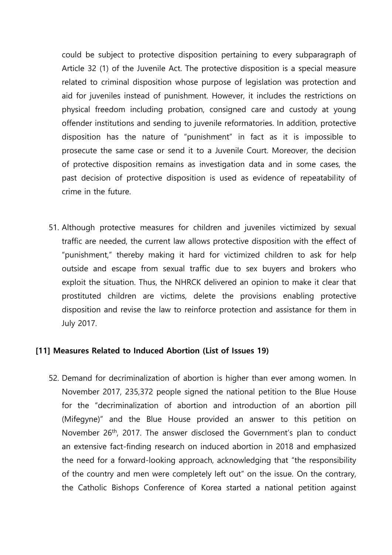could be subject to protective disposition pertaining to every subparagraph of Article 32 (1) of the Juvenile Act. The protective disposition is a special measure related to criminal disposition whose purpose of legislation was protection and aid for juveniles instead of punishment. However, it includes the restrictions on physical freedom including probation, consigned care and custody at young offender institutions and sending to juvenile reformatories. In addition, protective disposition has the nature of "punishment" in fact as it is impossible to prosecute the same case or send it to a Juvenile Court. Moreover, the decision of protective disposition remains as investigation data and in some cases, the past decision of protective disposition is used as evidence of repeatability of crime in the future.

51. Although protective measures for children and juveniles victimized by sexual traffic are needed, the current law allows protective disposition with the effect of "punishment," thereby making it hard for victimized children to ask for help outside and escape from sexual traffic due to sex buyers and brokers who exploit the situation. Thus, the NHRCK delivered an opinion to make it clear that prostituted children are victims, delete the provisions enabling protective disposition and revise the law to reinforce protection and assistance for them in July 2017.

### **[11] Measures Related to Induced Abortion (List of Issues 19)**

52. Demand for decriminalization of abortion is higher than ever among women. In November 2017, 235,372 people signed the national petition to the Blue House for the "decriminalization of abortion and introduction of an abortion pill (Mifegyne)" and the Blue House provided an answer to this petition on November 26th, 2017. The answer disclosed the Government's plan to conduct an extensive fact-finding research on induced abortion in 2018 and emphasized the need for a forward-looking approach, acknowledging that "the responsibility of the country and men were completely left out" on the issue. On the contrary, the Catholic Bishops Conference of Korea started a national petition against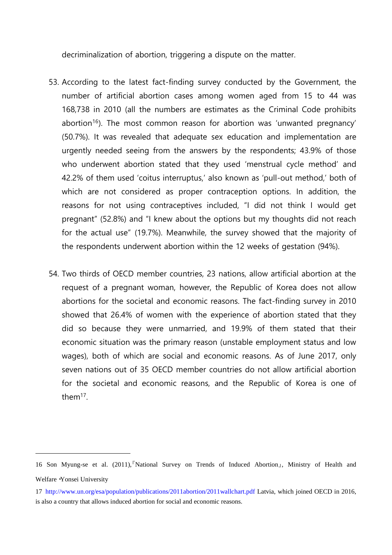decriminalization of abortion, triggering a dispute on the matter.

- 53. According to the latest fact-finding survey conducted by the Government, the number of artificial abortion cases among women aged from 15 to 44 was 168,738 in 2010 (all the numbers are estimates as the Criminal Code prohibits abortion<sup>16</sup>). The most common reason for abortion was 'unwanted pregnancy' (50.7%). It was revealed that adequate sex education and implementation are urgently needed seeing from the answers by the respondents; 43.9% of those who underwent abortion stated that they used 'menstrual cycle method' and 42.2% of them used 'coitus interruptus,' also known as 'pull-out method,' both of which are not considered as proper contraception options. In addition, the reasons for not using contraceptives included, "I did not think I would get pregnant" (52.8%) and "I knew about the options but my thoughts did not reach for the actual use" (19.7%). Meanwhile, the survey showed that the majority of the respondents underwent abortion within the 12 weeks of gestation (94%).
- 54. Two thirds of OECD member countries, 23 nations, allow artificial abortion at the request of a pregnant woman, however, the Republic of Korea does not allow abortions for the societal and economic reasons. The fact-finding survey in 2010 showed that 26.4% of women with the experience of abortion stated that they did so because they were unmarried, and 19.9% of them stated that their economic situation was the primary reason (unstable employment status and low wages), both of which are social and economic reasons. As of June 2017, only seven nations out of 35 OECD member countries do not allow artificial abortion for the societal and economic reasons, and the Republic of Korea is one of them<sup>17</sup> .

<sup>16</sup> Son Myung-se et al. (2011),『National Survey on Trends of Induced Abortion』, Ministry of Health and Welfare・Yonsei University

<sup>17</sup> http://www.un.org/esa/population/publications/2011abortion/2011wallchart.pdf Latvia, which joined OECD in 2016, is also a country that allows induced abortion for social and economic reasons.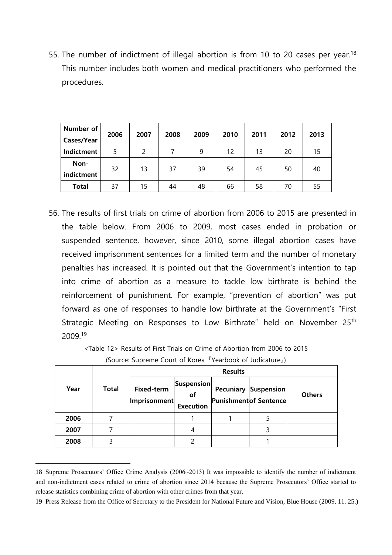55. The number of indictment of illegal abortion is from 10 to 20 cases per year.<sup>18</sup> This number includes both women and medical practitioners who performed the procedures.

| Number of          | 2006 | 2007 | 2008 | 2009 | 2010 | 2011 | 2012 | 2013 |
|--------------------|------|------|------|------|------|------|------|------|
| Cases/Year         |      |      |      |      |      |      |      |      |
| Indictment         |      |      |      | 9    | 12   | 13   | 20   | 15   |
| Non-<br>indictment | 32   | 13   | 37   | 39   | 54   | 45   | 50   | 40   |
| <b>Total</b>       | 37   | 15   | 44   | 48   | 66   | 58   | 70   | 55   |

56. The results of first trials on crime of abortion from 2006 to 2015 are presented in the table below. From 2006 to 2009, most cases ended in probation or suspended sentence, however, since 2010, some illegal abortion cases have received imprisonment sentences for a limited term and the number of monetary penalties has increased. It is pointed out that the Government's intention to tap into crime of abortion as a measure to tackle low birthrate is behind the reinforcement of punishment. For example, "prevention of abortion" was put forward as one of responses to handle low birthrate at the Government's "First Strategic Meeting on Responses to Low Birthrate" held on November 25<sup>th</sup> 2009.<sup>19</sup>

> <Table 12> Results of First Trials on Crime of Abortion from 2006 to 2015 (Source: Supreme Court of Korea 『Yearbook of Judicature』)

|      | <b>Total</b> | <b>Results</b>                    |                                      |  |                                                             |               |  |  |  |
|------|--------------|-----------------------------------|--------------------------------------|--|-------------------------------------------------------------|---------------|--|--|--|
| Year |              | <b>Fixed-term</b><br>Imprisonment | Suspension<br>of<br><b>Execution</b> |  | <b>Pecuniary Suspension</b><br><b>Punishmentof Sentence</b> | <b>Others</b> |  |  |  |
| 2006 |              |                                   |                                      |  |                                                             |               |  |  |  |
| 2007 |              |                                   | 4                                    |  | 3                                                           |               |  |  |  |
| 2008 | 3            |                                   |                                      |  |                                                             |               |  |  |  |

<sup>18</sup> Supreme Prosecutors' Office Crime Analysis (2006~2013) It was impossible to identify the number of indictment and non-indictment cases related to crime of abortion since 2014 because the Supreme Prosecutors' Office started to release statistics combining crime of abortion with other crimes from that year.

<sup>19</sup> Press Release from the Office of Secretary to the President for National Future and Vision, Blue House (2009. 11. 25.)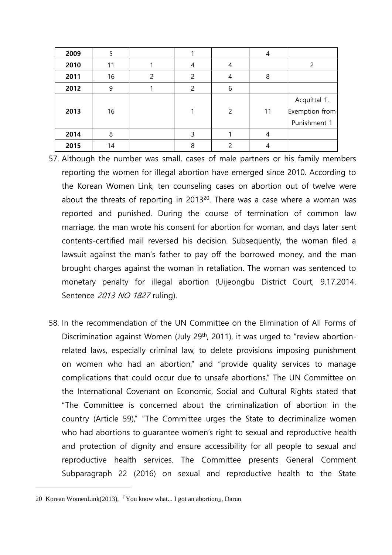| 2009 | 5  |   |               |               | 4  |                                                |
|------|----|---|---------------|---------------|----|------------------------------------------------|
| 2010 | 11 |   | 4             | 4             |    |                                                |
| 2011 | 16 | 2 | $\mathcal{P}$ | 4             | 8  |                                                |
| 2012 | 9  |   | 2             | 6             |    |                                                |
| 2013 | 16 |   |               | $\mathcal{P}$ | 11 | Acquittal 1,<br>Exemption from<br>Punishment 1 |
| 2014 | 8  |   | 3             |               | 4  |                                                |
| 2015 | 14 |   | 8             |               |    |                                                |

- 57. Although the number was small, cases of male partners or his family members reporting the women for illegal abortion have emerged since 2010. According to the Korean Women Link, ten counseling cases on abortion out of twelve were about the threats of reporting in 2013 $20$ . There was a case where a woman was reported and punished. During the course of termination of common law marriage, the man wrote his consent for abortion for woman, and days later sent contents-certified mail reversed his decision. Subsequently, the woman filed a lawsuit against the man's father to pay off the borrowed money, and the man brought charges against the woman in retaliation. The woman was sentenced to monetary penalty for illegal abortion (Uijeongbu District Court, 9.17.2014. Sentence 2013 NO 1827 ruling).
- 58. In the recommendation of the UN Committee on the Elimination of All Forms of Discrimination against Women (July 29<sup>th</sup>, 2011), it was urged to "review abortionrelated laws, especially criminal law, to delete provisions imposing punishment on women who had an abortion," and "provide quality services to manage complications that could occur due to unsafe abortions." The UN Committee on the International Covenant on Economic, Social and Cultural Rights stated that "The Committee is concerned about the criminalization of abortion in the country (Article 59)," "The Committee urges the State to decriminalize women who had abortions to guarantee women's right to sexual and reproductive health and protection of dignity and ensure accessibility for all people to sexual and reproductive health services. The Committee presents General Comment Subparagraph 22 (2016) on sexual and reproductive health to the State

<sup>20</sup> Korean WomenLink(2013),  $\sqrt{\ }$  You know what... I got an abortion<sub>d</sub>, Darun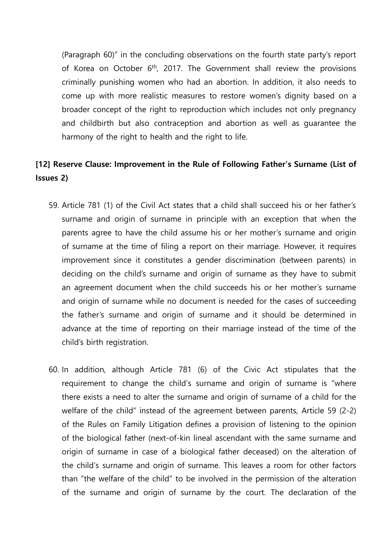(Paragraph 60)" in the concluding observations on the fourth state party's report of Korea on October 6<sup>th</sup>, 2017. The Government shall review the provisions criminally punishing women who had an abortion. In addition, it also needs to come up with more realistic measures to restore women's dignity based on a broader concept of the right to reproduction which includes not only pregnancy and childbirth but also contraception and abortion as well as guarantee the harmony of the right to health and the right to life.

## **[12] Reserve Clause: Improvement in the Rule of Following Father's Surname (List of Issues 2)**

- 59. Article 781 (1) of the Civil Act states that a child shall succeed his or her father's surname and origin of surname in principle with an exception that when the parents agree to have the child assume his or her mother's surname and origin of surname at the time of filing a report on their marriage. However, it requires improvement since it constitutes a gender discrimination (between parents) in deciding on the child's surname and origin of surname as they have to submit an agreement document when the child succeeds his or her mother's surname and origin of surname while no document is needed for the cases of succeeding the father's surname and origin of surname and it should be determined in advance at the time of reporting on their marriage instead of the time of the child's birth registration.
- 60. In addition, although Article 781 (6) of the Civic Act stipulates that the requirement to change the child's surname and origin of surname is "where there exists a need to alter the surname and origin of surname of a child for the welfare of the child" instead of the agreement between parents, Article 59 (2-2) of the Rules on Family Litigation defines a provision of listening to the opinion of the biological father (next-of-kin lineal ascendant with the same surname and origin of surname in case of a biological father deceased) on the alteration of the child's surname and origin of surname. This leaves a room for other factors than "the welfare of the child" to be involved in the permission of the alteration of the surname and origin of surname by the court. The declaration of the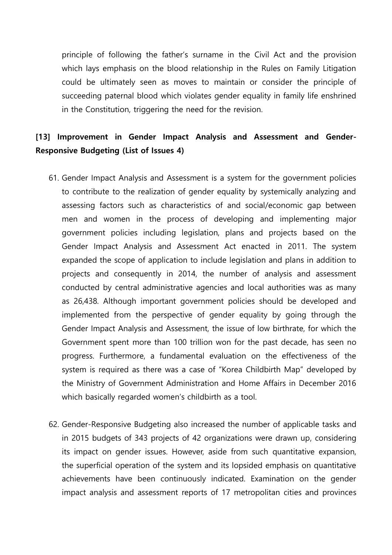principle of following the father's surname in the Civil Act and the provision which lays emphasis on the blood relationship in the Rules on Family Litigation could be ultimately seen as moves to maintain or consider the principle of succeeding paternal blood which violates gender equality in family life enshrined in the Constitution, triggering the need for the revision.

## **[13] Improvement in Gender Impact Analysis and Assessment and Gender-Responsive Budgeting (List of Issues 4)**

- 61. Gender Impact Analysis and Assessment is a system for the government policies to contribute to the realization of gender equality by systemically analyzing and assessing factors such as characteristics of and social/economic gap between men and women in the process of developing and implementing major government policies including legislation, plans and projects based on the Gender Impact Analysis and Assessment Act enacted in 2011. The system expanded the scope of application to include legislation and plans in addition to projects and consequently in 2014, the number of analysis and assessment conducted by central administrative agencies and local authorities was as many as 26,438. Although important government policies should be developed and implemented from the perspective of gender equality by going through the Gender Impact Analysis and Assessment, the issue of low birthrate, for which the Government spent more than 100 trillion won for the past decade, has seen no progress. Furthermore, a fundamental evaluation on the effectiveness of the system is required as there was a case of "Korea Childbirth Map" developed by the Ministry of Government Administration and Home Affairs in December 2016 which basically regarded women's childbirth as a tool.
- 62. Gender-Responsive Budgeting also increased the number of applicable tasks and in 2015 budgets of 343 projects of 42 organizations were drawn up, considering its impact on gender issues. However, aside from such quantitative expansion, the superficial operation of the system and its lopsided emphasis on quantitative achievements have been continuously indicated. Examination on the gender impact analysis and assessment reports of 17 metropolitan cities and provinces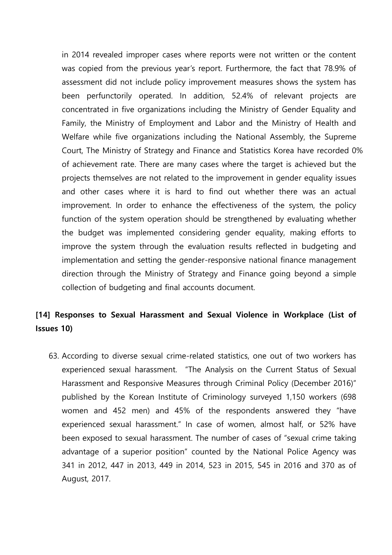in 2014 revealed improper cases where reports were not written or the content was copied from the previous year's report. Furthermore, the fact that 78.9% of assessment did not include policy improvement measures shows the system has been perfunctorily operated. In addition, 52.4% of relevant projects are concentrated in five organizations including the Ministry of Gender Equality and Family, the Ministry of Employment and Labor and the Ministry of Health and Welfare while five organizations including the National Assembly, the Supreme Court, The Ministry of Strategy and Finance and Statistics Korea have recorded 0% of achievement rate. There are many cases where the target is achieved but the projects themselves are not related to the improvement in gender equality issues and other cases where it is hard to find out whether there was an actual improvement. In order to enhance the effectiveness of the system, the policy function of the system operation should be strengthened by evaluating whether the budget was implemented considering gender equality, making efforts to improve the system through the evaluation results reflected in budgeting and implementation and setting the gender-responsive national finance management direction through the Ministry of Strategy and Finance going beyond a simple collection of budgeting and final accounts document.

## **[14] Responses to Sexual Harassment and Sexual Violence in Workplace (List of Issues 10)**

63. According to diverse sexual crime-related statistics, one out of two workers has experienced sexual harassment. "The Analysis on the Current Status of Sexual Harassment and Responsive Measures through Criminal Policy (December 2016)" published by the Korean Institute of Criminology surveyed 1,150 workers (698 women and 452 men) and 45% of the respondents answered they "have experienced sexual harassment." In case of women, almost half, or 52% have been exposed to sexual harassment. The number of cases of "sexual crime taking advantage of a superior position" counted by the National Police Agency was 341 in 2012, 447 in 2013, 449 in 2014, 523 in 2015, 545 in 2016 and 370 as of August, 2017.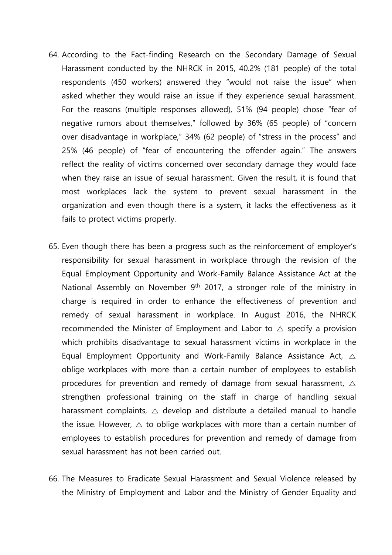- 64. According to the Fact-finding Research on the Secondary Damage of Sexual Harassment conducted by the NHRCK in 2015, 40.2% (181 people) of the total respondents (450 workers) answered they "would not raise the issue" when asked whether they would raise an issue if they experience sexual harassment. For the reasons (multiple responses allowed), 51% (94 people) chose "fear of negative rumors about themselves," followed by 36% (65 people) of "concern over disadvantage in workplace," 34% (62 people) of "stress in the process" and 25% (46 people) of "fear of encountering the offender again." The answers reflect the reality of victims concerned over secondary damage they would face when they raise an issue of sexual harassment. Given the result, it is found that most workplaces lack the system to prevent sexual harassment in the organization and even though there is a system, it lacks the effectiveness as it fails to protect victims properly.
- 65. Even though there has been a progress such as the reinforcement of employer's responsibility for sexual harassment in workplace through the revision of the Equal Employment Opportunity and Work-Family Balance Assistance Act at the National Assembly on November  $9<sup>th</sup>$  2017, a stronger role of the ministry in charge is required in order to enhance the effectiveness of prevention and remedy of sexual harassment in workplace. In August 2016, the NHRCK recommended the Minister of Employment and Labor to  $\triangle$  specify a provision which prohibits disadvantage to sexual harassment victims in workplace in the Equal Employment Opportunity and Work-Family Balance Assistance Act,  $\triangle$ oblige workplaces with more than a certain number of employees to establish procedures for prevention and remedy of damage from sexual harassment,  $\triangle$ strengthen professional training on the staff in charge of handling sexual harassment complaints,  $\triangle$  develop and distribute a detailed manual to handle the issue. However,  $\triangle$  to oblige workplaces with more than a certain number of employees to establish procedures for prevention and remedy of damage from sexual harassment has not been carried out.
- 66. The Measures to Eradicate Sexual Harassment and Sexual Violence released by the Ministry of Employment and Labor and the Ministry of Gender Equality and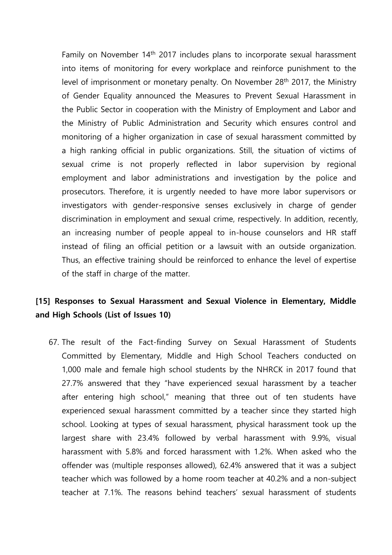Family on November 14th 2017 includes plans to incorporate sexual harassment into items of monitoring for every workplace and reinforce punishment to the level of imprisonment or monetary penalty. On November 28th 2017, the Ministry of Gender Equality announced the Measures to Prevent Sexual Harassment in the Public Sector in cooperation with the Ministry of Employment and Labor and the Ministry of Public Administration and Security which ensures control and monitoring of a higher organization in case of sexual harassment committed by a high ranking official in public organizations. Still, the situation of victims of sexual crime is not properly reflected in labor supervision by regional employment and labor administrations and investigation by the police and prosecutors. Therefore, it is urgently needed to have more labor supervisors or investigators with gender-responsive senses exclusively in charge of gender discrimination in employment and sexual crime, respectively. In addition, recently, an increasing number of people appeal to in-house counselors and HR staff instead of filing an official petition or a lawsuit with an outside organization. Thus, an effective training should be reinforced to enhance the level of expertise of the staff in charge of the matter.

## **[15] Responses to Sexual Harassment and Sexual Violence in Elementary, Middle and High Schools (List of Issues 10)**

67. The result of the Fact-finding Survey on Sexual Harassment of Students Committed by Elementary, Middle and High School Teachers conducted on 1,000 male and female high school students by the NHRCK in 2017 found that 27.7% answered that they "have experienced sexual harassment by a teacher after entering high school," meaning that three out of ten students have experienced sexual harassment committed by a teacher since they started high school. Looking at types of sexual harassment, physical harassment took up the largest share with 23.4% followed by verbal harassment with 9.9%, visual harassment with 5.8% and forced harassment with 1.2%. When asked who the offender was (multiple responses allowed), 62.4% answered that it was a subject teacher which was followed by a home room teacher at 40.2% and a non-subject teacher at 7.1%. The reasons behind teachers' sexual harassment of students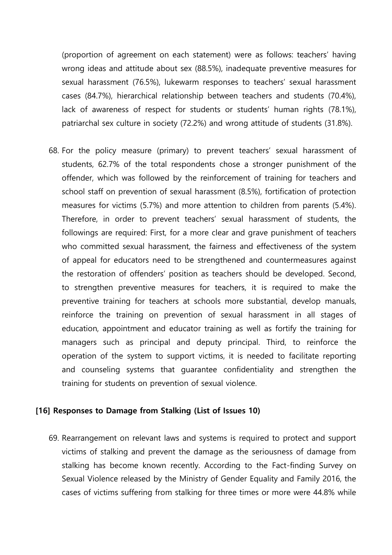(proportion of agreement on each statement) were as follows: teachers' having wrong ideas and attitude about sex (88.5%), inadequate preventive measures for sexual harassment (76.5%), lukewarm responses to teachers' sexual harassment cases (84.7%), hierarchical relationship between teachers and students (70.4%), lack of awareness of respect for students or students' human rights (78.1%), patriarchal sex culture in society (72.2%) and wrong attitude of students (31.8%).

68. For the policy measure (primary) to prevent teachers' sexual harassment of students, 62.7% of the total respondents chose a stronger punishment of the offender, which was followed by the reinforcement of training for teachers and school staff on prevention of sexual harassment (8.5%), fortification of protection measures for victims (5.7%) and more attention to children from parents (5.4%). Therefore, in order to prevent teachers' sexual harassment of students, the followings are required: First, for a more clear and grave punishment of teachers who committed sexual harassment, the fairness and effectiveness of the system of appeal for educators need to be strengthened and countermeasures against the restoration of offenders' position as teachers should be developed. Second, to strengthen preventive measures for teachers, it is required to make the preventive training for teachers at schools more substantial, develop manuals, reinforce the training on prevention of sexual harassment in all stages of education, appointment and educator training as well as fortify the training for managers such as principal and deputy principal. Third, to reinforce the operation of the system to support victims, it is needed to facilitate reporting and counseling systems that guarantee confidentiality and strengthen the training for students on prevention of sexual violence.

#### **[16] Responses to Damage from Stalking (List of Issues 10)**

69. Rearrangement on relevant laws and systems is required to protect and support victims of stalking and prevent the damage as the seriousness of damage from stalking has become known recently. According to the Fact-finding Survey on Sexual Violence released by the Ministry of Gender Equality and Family 2016, the cases of victims suffering from stalking for three times or more were 44.8% while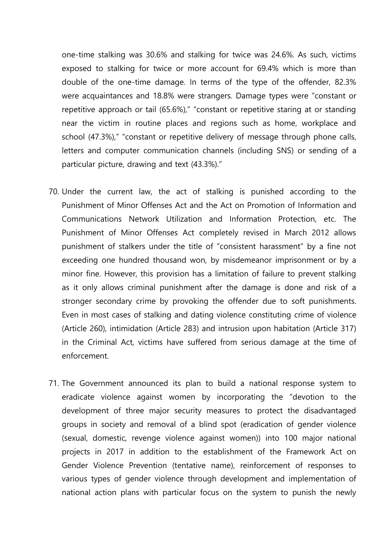one-time stalking was 30.6% and stalking for twice was 24.6%. As such, victims exposed to stalking for twice or more account for 69.4% which is more than double of the one-time damage. In terms of the type of the offender, 82.3% were acquaintances and 18.8% were strangers. Damage types were "constant or repetitive approach or tail (65.6%)," "constant or repetitive staring at or standing near the victim in routine places and regions such as home, workplace and school (47.3%)," "constant or repetitive delivery of message through phone calls, letters and computer communication channels (including SNS) or sending of a particular picture, drawing and text (43.3%)."

- 70. Under the current law, the act of stalking is punished according to the Punishment of Minor Offenses Act and the Act on Promotion of Information and Communications Network Utilization and Information Protection, etc. The Punishment of Minor Offenses Act completely revised in March 2012 allows punishment of stalkers under the title of "consistent harassment" by a fine not exceeding one hundred thousand won, by misdemeanor imprisonment or by a minor fine. However, this provision has a limitation of failure to prevent stalking as it only allows criminal punishment after the damage is done and risk of a stronger secondary crime by provoking the offender due to soft punishments. Even in most cases of stalking and dating violence constituting crime of violence (Article 260), intimidation (Article 283) and intrusion upon habitation (Article 317) in the Criminal Act, victims have suffered from serious damage at the time of enforcement.
- 71. The Government announced its plan to build a national response system to eradicate violence against women by incorporating the "devotion to the development of three major security measures to protect the disadvantaged groups in society and removal of a blind spot (eradication of gender violence (sexual, domestic, revenge violence against women)) into 100 major national projects in 2017 in addition to the establishment of the Framework Act on Gender Violence Prevention (tentative name), reinforcement of responses to various types of gender violence through development and implementation of national action plans with particular focus on the system to punish the newly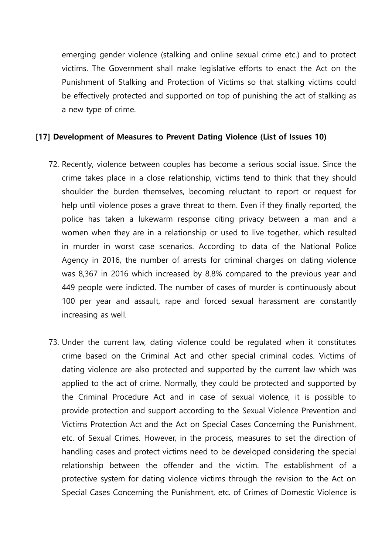emerging gender violence (stalking and online sexual crime etc.) and to protect victims. The Government shall make legislative efforts to enact the Act on the Punishment of Stalking and Protection of Victims so that stalking victims could be effectively protected and supported on top of punishing the act of stalking as a new type of crime.

## **[17] Development of Measures to Prevent Dating Violence (List of Issues 10)**

- 72. Recently, violence between couples has become a serious social issue. Since the crime takes place in a close relationship, victims tend to think that they should shoulder the burden themselves, becoming reluctant to report or request for help until violence poses a grave threat to them. Even if they finally reported, the police has taken a lukewarm response citing privacy between a man and a women when they are in a relationship or used to live together, which resulted in murder in worst case scenarios. According to data of the National Police Agency in 2016, the number of arrests for criminal charges on dating violence was 8,367 in 2016 which increased by 8.8% compared to the previous year and 449 people were indicted. The number of cases of murder is continuously about 100 per year and assault, rape and forced sexual harassment are constantly increasing as well.
- 73. Under the current law, dating violence could be regulated when it constitutes crime based on the Criminal Act and other special criminal codes. Victims of dating violence are also protected and supported by the current law which was applied to the act of crime. Normally, they could be protected and supported by the Criminal Procedure Act and in case of sexual violence, it is possible to provide protection and support according to the Sexual Violence Prevention and Victims Protection Act and the Act on Special Cases Concerning the Punishment, etc. of Sexual Crimes. However, in the process, measures to set the direction of handling cases and protect victims need to be developed considering the special relationship between the offender and the victim. The establishment of a protective system for dating violence victims through the revision to the Act on Special Cases Concerning the Punishment, etc. of Crimes of Domestic Violence is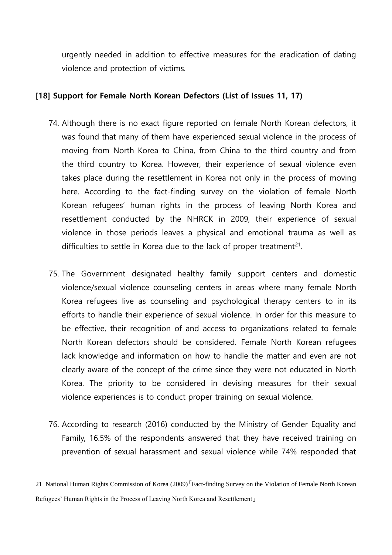urgently needed in addition to effective measures for the eradication of dating violence and protection of victims.

### **[18] Support for Female North Korean Defectors (List of Issues 11, 17)**

- 74. Although there is no exact figure reported on female North Korean defectors, it was found that many of them have experienced sexual violence in the process of moving from North Korea to China, from China to the third country and from the third country to Korea. However, their experience of sexual violence even takes place during the resettlement in Korea not only in the process of moving here. According to the fact-finding survey on the violation of female North Korean refugees' human rights in the process of leaving North Korea and resettlement conducted by the NHRCK in 2009, their experience of sexual violence in those periods leaves a physical and emotional trauma as well as difficulties to settle in Korea due to the lack of proper treatment<sup>21</sup>.
- 75. The Government designated healthy family support centers and domestic violence/sexual violence counseling centers in areas where many female North Korea refugees live as counseling and psychological therapy centers to in its efforts to handle their experience of sexual violence. In order for this measure to be effective, their recognition of and access to organizations related to female North Korean defectors should be considered. Female North Korean refugees lack knowledge and information on how to handle the matter and even are not clearly aware of the concept of the crime since they were not educated in North Korea. The priority to be considered in devising measures for their sexual violence experiences is to conduct proper training on sexual violence.
- 76. According to research (2016) conducted by the Ministry of Gender Equality and Family, 16.5% of the respondents answered that they have received training on prevention of sexual harassment and sexual violence while 74% responded that

<sup>21</sup> National Human Rights Commission of Korea (2009)「Fact-finding Survey on the Violation of Female North Korean Refugees' Human Rights in the Process of Leaving North Korea and Resettlement」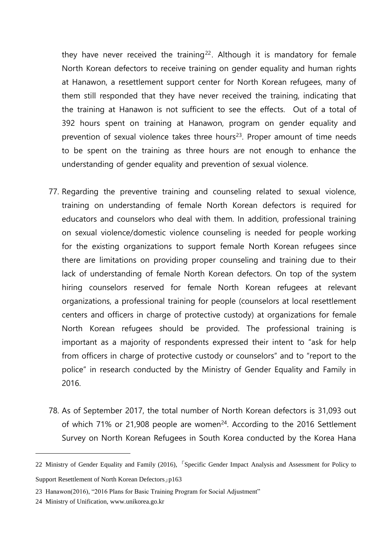they have never received the training<sup>22</sup>. Although it is mandatory for female North Korean defectors to receive training on gender equality and human rights at Hanawon, a resettlement support center for North Korean refugees, many of them still responded that they have never received the training, indicating that the training at Hanawon is not sufficient to see the effects. Out of a total of 392 hours spent on training at Hanawon, program on gender equality and prevention of sexual violence takes three hours $23$ . Proper amount of time needs to be spent on the training as three hours are not enough to enhance the understanding of gender equality and prevention of sexual violence.

- 77. Regarding the preventive training and counseling related to sexual violence, training on understanding of female North Korean defectors is required for educators and counselors who deal with them. In addition, professional training on sexual violence/domestic violence counseling is needed for people working for the existing organizations to support female North Korean refugees since there are limitations on providing proper counseling and training due to their lack of understanding of female North Korean defectors. On top of the system hiring counselors reserved for female North Korean refugees at relevant organizations, a professional training for people (counselors at local resettlement centers and officers in charge of protective custody) at organizations for female North Korean refugees should be provided. The professional training is important as a majority of respondents expressed their intent to "ask for help from officers in charge of protective custody or counselors" and to "report to the police" in research conducted by the Ministry of Gender Equality and Family in 2016.
- 78. As of September 2017, the total number of North Korean defectors is 31,093 out of which  $71\%$  or 21,908 people are women<sup>24</sup>. According to the 2016 Settlement Survey on North Korean Refugees in South Korea conducted by the Korea Hana

<sup>22</sup> Ministry of Gender Equality and Family (2016), <sup>[</sup>Specific Gender Impact Analysis and Assessment for Policy to Support Resettlement of North Korean Defectors」p163

<sup>23</sup> Hanawon(2016), "2016 Plans for Basic Training Program for Social Adjustment"

<sup>24</sup> Ministry of Unification, www.unikorea.go.kr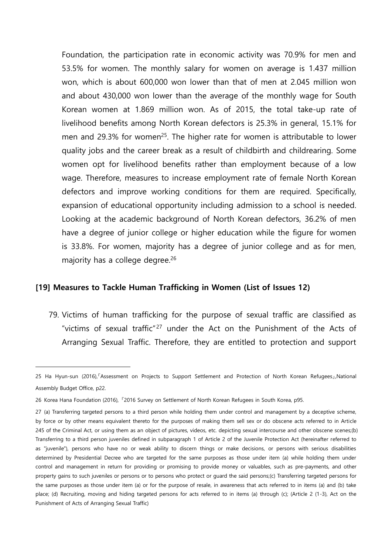Foundation, the participation rate in economic activity was 70.9% for men and 53.5% for women. The monthly salary for women on average is 1.437 million won, which is about 600,000 won lower than that of men at 2.045 million won and about 430,000 won lower than the average of the monthly wage for South Korean women at 1.869 million won. As of 2015, the total take-up rate of livelihood benefits among North Korean defectors is 25.3% in general, 15.1% for men and 29.3% for women<sup>25</sup>. The higher rate for women is attributable to lower quality jobs and the career break as a result of childbirth and childrearing. Some women opt for livelihood benefits rather than employment because of a low wage. Therefore, measures to increase employment rate of female North Korean defectors and improve working conditions for them are required. Specifically, expansion of educational opportunity including admission to a school is needed. Looking at the academic background of North Korean defectors, 36.2% of men have a degree of junior college or higher education while the figure for women is 33.8%. For women, majority has a degree of junior college and as for men, majority has a college degree.<sup>26</sup>

#### **[19] Measures to Tackle Human Trafficking in Women (List of Issues 12)**

79. Victims of human trafficking for the purpose of sexual traffic are classified as "victims of sexual traffic"<sup>27</sup> under the Act on the Punishment of the Acts of Arranging Sexual Traffic. Therefore, they are entitled to protection and support

<sup>25</sup> Ha Hyun-sun (2016), 『Assessment on Projects to Support Settlement and Protection of North Korean Refugees』,National Assembly Budget Office, p22.

<sup>26</sup> Korea Hana Foundation (2016), 『2016 Survey on Settlement of North Korean Refugees in South Korea, p95.

<sup>27</sup> (a) Transferring targeted persons to a third person while holding them under control and management by a deceptive scheme, by force or by other means equivalent thereto for the purposes of making them sell sex or do obscene acts referred to in Article 245 of the Criminal Act, or using them as an object of pictures, videos, etc. depicting sexual intercourse and other obscene scenes;(b) Transferring to a third person juveniles defined in subparagraph 1 of Article 2 of the Juvenile Protection Act (hereinafter referred to as "juvenile"), persons who have no or weak ability to discern things or make decisions, or persons with serious disabilities determined by Presidential Decree who are targeted for the same purposes as those under item (a) while holding them under control and management in return for providing or promising to provide money or valuables, such as pre-payments, and other property gains to such juveniles or persons or to persons who protect or guard the said persons;(c) Transferring targeted persons for the same purposes as those under item (a) or for the purpose of resale, in awareness that acts referred to in items (a) and (b) take place; (d) Recruiting, moving and hiding targeted persons for acts referred to in items (a) through (c); (Article 2 (1-3), Act on the Punishment of Acts of Arranging Sexual Traffic)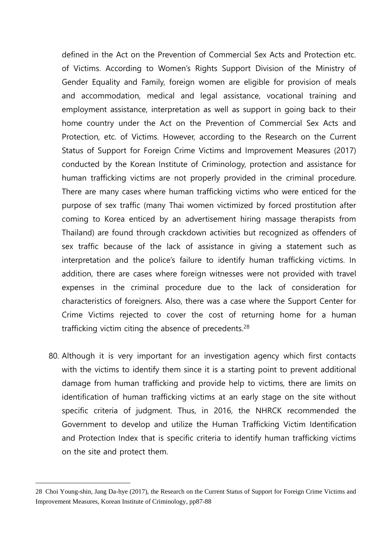defined in the Act on the Prevention of Commercial Sex Acts and Protection etc. of Victims. According to Women's Rights Support Division of the Ministry of Gender Equality and Family, foreign women are eligible for provision of meals and accommodation, medical and legal assistance, vocational training and employment assistance, interpretation as well as support in going back to their home country under the Act on the Prevention of Commercial Sex Acts and Protection, etc. of Victims. However, according to the Research on the Current Status of Support for Foreign Crime Victims and Improvement Measures (2017) conducted by the Korean Institute of Criminology, protection and assistance for human trafficking victims are not properly provided in the criminal procedure. There are many cases where human trafficking victims who were enticed for the purpose of sex traffic (many Thai women victimized by forced prostitution after coming to Korea enticed by an advertisement hiring massage therapists from Thailand) are found through crackdown activities but recognized as offenders of sex traffic because of the lack of assistance in giving a statement such as interpretation and the police's failure to identify human trafficking victims. In addition, there are cases where foreign witnesses were not provided with travel expenses in the criminal procedure due to the lack of consideration for characteristics of foreigners. Also, there was a case where the Support Center for Crime Victims rejected to cover the cost of returning home for a human trafficking victim citing the absence of precedents.<sup>28</sup>

80. Although it is very important for an investigation agency which first contacts with the victims to identify them since it is a starting point to prevent additional damage from human trafficking and provide help to victims, there are limits on identification of human trafficking victims at an early stage on the site without specific criteria of judgment. Thus, in 2016, the NHRCK recommended the Government to develop and utilize the Human Trafficking Victim Identification and Protection Index that is specific criteria to identify human trafficking victims on the site and protect them.

<sup>28</sup> Choi Young-shin, Jang Da-hye (2017), the Research on the Current Status of Support for Foreign Crime Victims and Improvement Measures, Korean Institute of Criminology, pp87-88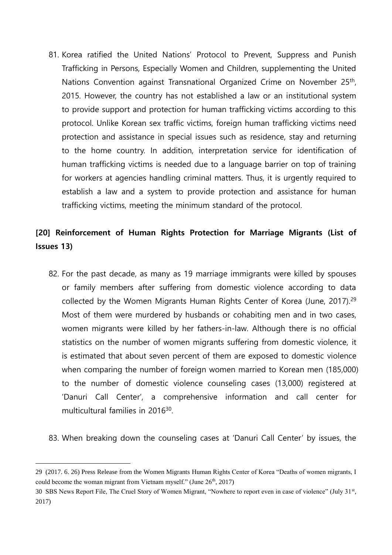81. Korea ratified the United Nations' Protocol to Prevent, Suppress and Punish Trafficking in Persons, Especially Women and Children, supplementing the United Nations Convention against Transnational Organized Crime on November 25<sup>th</sup>, 2015. However, the country has not established a law or an institutional system to provide support and protection for human trafficking victims according to this protocol. Unlike Korean sex traffic victims, foreign human trafficking victims need protection and assistance in special issues such as residence, stay and returning to the home country. In addition, interpretation service for identification of human trafficking victims is needed due to a language barrier on top of training for workers at agencies handling criminal matters. Thus, it is urgently required to establish a law and a system to provide protection and assistance for human trafficking victims, meeting the minimum standard of the protocol.

# **[20] Reinforcement of Human Rights Protection for Marriage Migrants (List of Issues 13)**

- 82. For the past decade, as many as 19 marriage immigrants were killed by spouses or family members after suffering from domestic violence according to data collected by the Women Migrants Human Rights Center of Korea (June, 2017).<sup>29</sup> Most of them were murdered by husbands or cohabiting men and in two cases, women migrants were killed by her fathers-in-law. Although there is no official statistics on the number of women migrants suffering from domestic violence, it is estimated that about seven percent of them are exposed to domestic violence when comparing the number of foreign women married to Korean men (185,000) to the number of domestic violence counseling cases (13,000) registered at 'Danuri Call Center', a comprehensive information and call center for multicultural families in 2016<sup>30</sup>.
- 83. When breaking down the counseling cases at 'Danuri Call Center' by issues, the

<sup>29</sup> (2017. 6. 26) Press Release from the Women Migrants Human Rights Center of Korea "Deaths of women migrants, I could become the woman migrant from Vietnam myself." (June  $26<sup>th</sup>$ ,  $2017$ )

<sup>30</sup> SBS News Report File, The Cruel Story of Women Migrant, "Nowhere to report even in case of violence" (July 31st, 2017)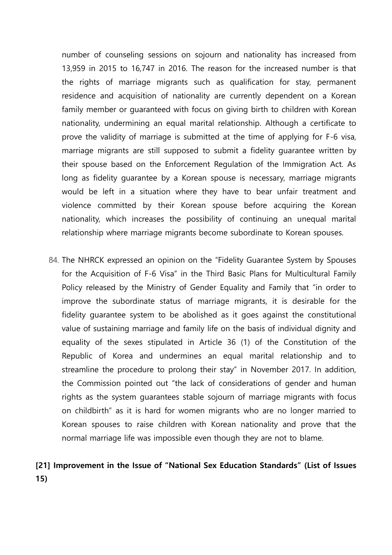number of counseling sessions on sojourn and nationality has increased from 13,959 in 2015 to 16,747 in 2016. The reason for the increased number is that the rights of marriage migrants such as qualification for stay, permanent residence and acquisition of nationality are currently dependent on a Korean family member or guaranteed with focus on giving birth to children with Korean nationality, undermining an equal marital relationship. Although a certificate to prove the validity of marriage is submitted at the time of applying for F-6 visa, marriage migrants are still supposed to submit a fidelity guarantee written by their spouse based on the Enforcement Regulation of the Immigration Act. As long as fidelity guarantee by a Korean spouse is necessary, marriage migrants would be left in a situation where they have to bear unfair treatment and violence committed by their Korean spouse before acquiring the Korean nationality, which increases the possibility of continuing an unequal marital relationship where marriage migrants become subordinate to Korean spouses.

84. The NHRCK expressed an opinion on the "Fidelity Guarantee System by Spouses for the Acquisition of F-6 Visa" in the Third Basic Plans for Multicultural Family Policy released by the Ministry of Gender Equality and Family that "in order to improve the subordinate status of marriage migrants, it is desirable for the fidelity guarantee system to be abolished as it goes against the constitutional value of sustaining marriage and family life on the basis of individual dignity and equality of the sexes stipulated in Article 36 (1) of the Constitution of the Republic of Korea and undermines an equal marital relationship and to streamline the procedure to prolong their stay" in November 2017. In addition, the Commission pointed out "the lack of considerations of gender and human rights as the system guarantees stable sojourn of marriage migrants with focus on childbirth" as it is hard for women migrants who are no longer married to Korean spouses to raise children with Korean nationality and prove that the normal marriage life was impossible even though they are not to blame.

# **[21] Improvement in the Issue of "National Sex Education Standards" (List of Issues 15)**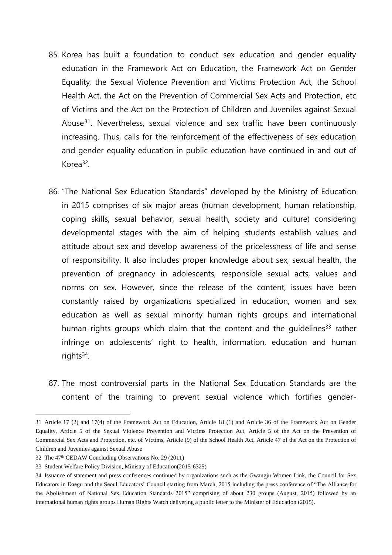- 85. Korea has built a foundation to conduct sex education and gender equality education in the Framework Act on Education, the Framework Act on Gender Equality, the Sexual Violence Prevention and Victims Protection Act, the School Health Act, the Act on the Prevention of Commercial Sex Acts and Protection, etc. of Victims and the Act on the Protection of Children and Juveniles against Sexual Abuse<sup>31</sup>. Nevertheless, sexual violence and sex traffic have been continuously increasing. Thus, calls for the reinforcement of the effectiveness of sex education and gender equality education in public education have continued in and out of Korea<sup>32</sup>.
- 86. "The National Sex Education Standards" developed by the Ministry of Education in 2015 comprises of six major areas (human development, human relationship, coping skills, sexual behavior, sexual health, society and culture) considering developmental stages with the aim of helping students establish values and attitude about sex and develop awareness of the pricelessness of life and sense of responsibility. It also includes proper knowledge about sex, sexual health, the prevention of pregnancy in adolescents, responsible sexual acts, values and norms on sex. However, since the release of the content, issues have been constantly raised by organizations specialized in education, women and sex education as well as sexual minority human rights groups and international human rights groups which claim that the content and the quidelines<sup>33</sup> rather infringe on adolescents' right to health, information, education and human rights<sup>34</sup>.
- 87. The most controversial parts in the National Sex Education Standards are the content of the training to prevent sexual violence which fortifies gender-

<sup>31</sup> Article 17 (2) and 17(4) of the Framework Act on Education, Article 18 (1) and Article 36 of the Framework Act on Gender Equality, Article 5 of the Sexual Violence Prevention and Victims Protection Act, Article 5 of the Act on the Prevention of Commercial Sex Acts and Protection, etc. of Victims, Article (9) of the School Health Act, Article 47 of the Act on the Protection of Children and Juveniles against Sexual Abuse

<sup>32</sup> The 47th CEDAW Concluding Observations No. 29 (2011)

<sup>33</sup> Student Welfare Policy Division, Ministry of Education(2015-6325)

<sup>34</sup> Issuance of statement and press conferences continued by organizations such as the Gwangju Women Link, the Council for Sex Educators in Daegu and the Seoul Educators' Council starting from March, 2015 including the press conference of "The Alliance for the Abolishment of National Sex Education Standards 2015" comprising of about 230 groups (August, 2015) followed by an international human rights groups Human Rights Watch delivering a public letter to the Minister of Education (2015).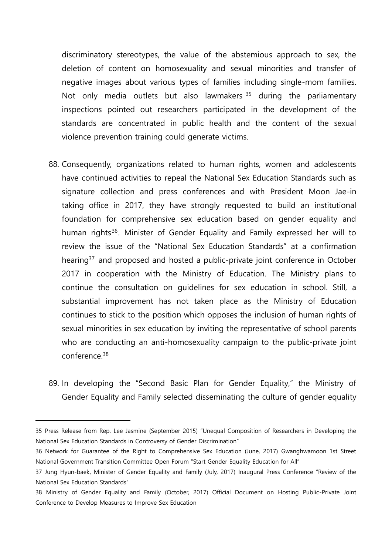discriminatory stereotypes, the value of the abstemious approach to sex, the deletion of content on homosexuality and sexual minorities and transfer of negative images about various types of families including single-mom families. Not only media outlets but also lawmakers <sup>35</sup> during the parliamentary inspections pointed out researchers participated in the development of the standards are concentrated in public health and the content of the sexual violence prevention training could generate victims.

- 88. Consequently, organizations related to human rights, women and adolescents have continued activities to repeal the National Sex Education Standards such as signature collection and press conferences and with President Moon Jae-in taking office in 2017, they have strongly requested to build an institutional foundation for comprehensive sex education based on gender equality and human rights<sup>36</sup>. Minister of Gender Equality and Family expressed her will to review the issue of the "National Sex Education Standards" at a confirmation hearing<sup>37</sup> and proposed and hosted a public-private joint conference in October 2017 in cooperation with the Ministry of Education. The Ministry plans to continue the consultation on guidelines for sex education in school. Still, a substantial improvement has not taken place as the Ministry of Education continues to stick to the position which opposes the inclusion of human rights of sexual minorities in sex education by inviting the representative of school parents who are conducting an anti-homosexuality campaign to the public-private joint conference.<sup>38</sup>
- 89. In developing the "Second Basic Plan for Gender Equality," the Ministry of Gender Equality and Family selected disseminating the culture of gender equality

<sup>35</sup> Press Release from Rep. Lee Jasmine (September 2015) "Unequal Composition of Researchers in Developing the National Sex Education Standards in Controversy of Gender Discrimination"

<sup>36</sup> Network for Guarantee of the Right to Comprehensive Sex Education (June, 2017) Gwanghwamoon 1st Street National Government Transition Committee Open Forum "Start Gender Equality Education for All"

<sup>37</sup> Jung Hyun-baek, Minister of Gender Equality and Family (July, 2017) Inaugural Press Conference "Review of the National Sex Education Standards"

<sup>38</sup> Ministry of Gender Equality and Family (October, 2017) Official Document on Hosting Public-Private Joint Conference to Develop Measures to Improve Sex Education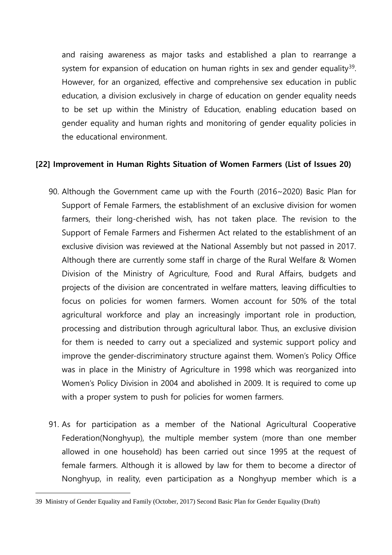and raising awareness as major tasks and established a plan to rearrange a system for expansion of education on human rights in sex and gender equality<sup>39</sup>. However, for an organized, effective and comprehensive sex education in public education, a division exclusively in charge of education on gender equality needs to be set up within the Ministry of Education, enabling education based on gender equality and human rights and monitoring of gender equality policies in the educational environment.

#### **[22] Improvement in Human Rights Situation of Women Farmers (List of Issues 20)**

- 90. Although the Government came up with the Fourth (2016~2020) Basic Plan for Support of Female Farmers, the establishment of an exclusive division for women farmers, their long-cherished wish, has not taken place. The revision to the Support of Female Farmers and Fishermen Act related to the establishment of an exclusive division was reviewed at the National Assembly but not passed in 2017. Although there are currently some staff in charge of the Rural Welfare & Women Division of the Ministry of Agriculture, Food and Rural Affairs, budgets and projects of the division are concentrated in welfare matters, leaving difficulties to focus on policies for women farmers. Women account for 50% of the total agricultural workforce and play an increasingly important role in production, processing and distribution through agricultural labor. Thus, an exclusive division for them is needed to carry out a specialized and systemic support policy and improve the gender-discriminatory structure against them. Women's Policy Office was in place in the Ministry of Agriculture in 1998 which was reorganized into Women's Policy Division in 2004 and abolished in 2009. It is required to come up with a proper system to push for policies for women farmers.
- 91. As for participation as a member of the National Agricultural Cooperative Federation(Nonghyup), the multiple member system (more than one member allowed in one household) has been carried out since 1995 at the request of female farmers. Although it is allowed by law for them to become a director of Nonghyup, in reality, even participation as a Nonghyup member which is a

<sup>39</sup> Ministry of Gender Equality and Family (October, 2017) Second Basic Plan for Gender Equality (Draft)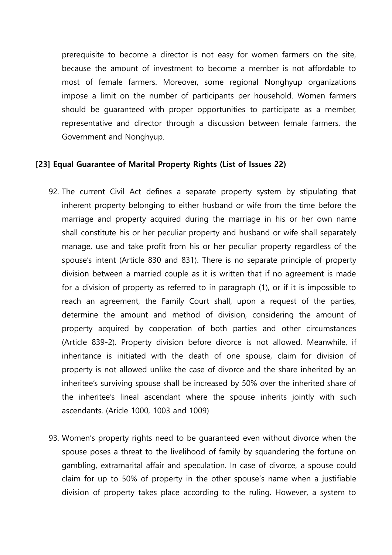prerequisite to become a director is not easy for women farmers on the site, because the amount of investment to become a member is not affordable to most of female farmers. Moreover, some regional Nonghyup organizations impose a limit on the number of participants per household. Women farmers should be guaranteed with proper opportunities to participate as a member, representative and director through a discussion between female farmers, the Government and Nonghyup.

#### **[23] Equal Guarantee of Marital Property Rights (List of Issues 22)**

- 92. The current Civil Act defines a separate property system by stipulating that inherent property belonging to either husband or wife from the time before the marriage and property acquired during the marriage in his or her own name shall constitute his or her peculiar property and husband or wife shall separately manage, use and take profit from his or her peculiar property regardless of the spouse's intent (Article 830 and 831). There is no separate principle of property division between a married couple as it is written that if no agreement is made for a division of property as referred to in paragraph (1), or if it is impossible to reach an agreement, the Family Court shall, upon a request of the parties, determine the amount and method of division, considering the amount of property acquired by cooperation of both parties and other circumstances (Article 839-2). Property division before divorce is not allowed. Meanwhile, if inheritance is initiated with the death of one spouse, claim for division of property is not allowed unlike the case of divorce and the share inherited by an inheritee's surviving spouse shall be increased by 50% over the inherited share of the inheritee's lineal ascendant where the spouse inherits jointly with such ascendants. (Aricle 1000, 1003 and 1009)
- 93. Women's property rights need to be guaranteed even without divorce when the spouse poses a threat to the livelihood of family by squandering the fortune on gambling, extramarital affair and speculation. In case of divorce, a spouse could claim for up to 50% of property in the other spouse's name when a justifiable division of property takes place according to the ruling. However, a system to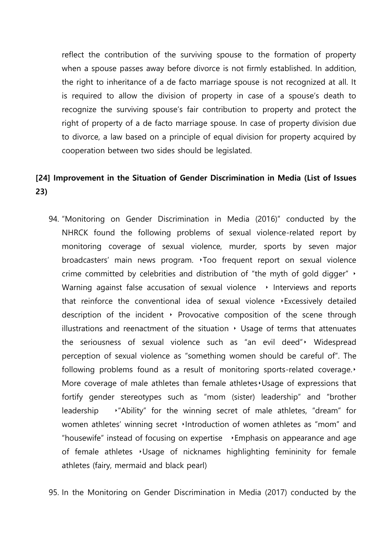reflect the contribution of the surviving spouse to the formation of property when a spouse passes away before divorce is not firmly established. In addition, the right to inheritance of a de facto marriage spouse is not recognized at all. It is required to allow the division of property in case of a spouse's death to recognize the surviving spouse's fair contribution to property and protect the right of property of a de facto marriage spouse. In case of property division due to divorce, a law based on a principle of equal division for property acquired by cooperation between two sides should be legislated.

## **[24] Improvement in the Situation of Gender Discrimination in Media (List of Issues 23)**

94. "Monitoring on Gender Discrimination in Media (2016)" conducted by the NHRCK found the following problems of sexual violence-related report by monitoring coverage of sexual violence, murder, sports by seven major broadcasters' main news program. ‣Too frequent report on sexual violence crime committed by celebrities and distribution of "the myth of gold digger" ‣ Warning against false accusation of sexual violence  $\rightarrow$  Interviews and reports that reinforce the conventional idea of sexual violence ‣Excessively detailed description of the incident  $\cdot$  Provocative composition of the scene through illustrations and reenactment of the situation  $\rightarrow$  Usage of terms that attenuates the seriousness of sexual violence such as "an evil deed"‣ Widespread perception of sexual violence as "something women should be careful of". The following problems found as a result of monitoring sports-related coverage. More coverage of male athletes than female athletes Usage of expressions that fortify gender stereotypes such as "mom (sister) leadership" and "brother leadership ‣"Ability" for the winning secret of male athletes, "dream" for women athletes' winning secret Introduction of women athletes as "mom" and "housewife" instead of focusing on expertise ‣Emphasis on appearance and age of female athletes ‣Usage of nicknames highlighting femininity for female athletes (fairy, mermaid and black pearl)

95. In the Monitoring on Gender Discrimination in Media (2017) conducted by the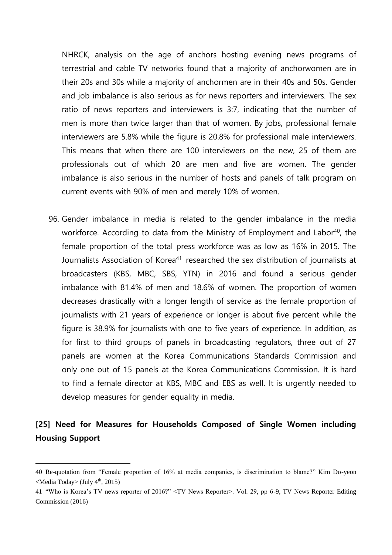NHRCK, analysis on the age of anchors hosting evening news programs of terrestrial and cable TV networks found that a majority of anchorwomen are in their 20s and 30s while a majority of anchormen are in their 40s and 50s. Gender and job imbalance is also serious as for news reporters and interviewers. The sex ratio of news reporters and interviewers is 3:7, indicating that the number of men is more than twice larger than that of women. By jobs, professional female interviewers are 5.8% while the figure is 20.8% for professional male interviewers. This means that when there are 100 interviewers on the new, 25 of them are professionals out of which 20 are men and five are women. The gender imbalance is also serious in the number of hosts and panels of talk program on current events with 90% of men and merely 10% of women.

96. Gender imbalance in media is related to the gender imbalance in the media workforce. According to data from the Ministry of Employment and Labor<sup>40</sup>, the female proportion of the total press workforce was as low as 16% in 2015. The Journalists Association of Korea<sup>41</sup> researched the sex distribution of journalists at broadcasters (KBS, MBC, SBS, YTN) in 2016 and found a serious gender imbalance with 81.4% of men and 18.6% of women. The proportion of women decreases drastically with a longer length of service as the female proportion of journalists with 21 years of experience or longer is about five percent while the figure is 38.9% for journalists with one to five years of experience. In addition, as for first to third groups of panels in broadcasting regulators, three out of 27 panels are women at the Korea Communications Standards Commission and only one out of 15 panels at the Korea Communications Commission. It is hard to find a female director at KBS, MBC and EBS as well. It is urgently needed to develop measures for gender equality in media.

## **[25] Need for Measures for Households Composed of Single Women including Housing Support**

<sup>40</sup> Re-quotation from "Female proportion of 16% at media companies, is discrimination to blame?" Kim Do-yeon <Media Today> (July 4th, 2015)

<sup>41</sup> "Who is Korea's TV news reporter of 2016?" <TV News Reporter>. Vol. 29, pp 6-9, TV News Reporter Editing Commission (2016)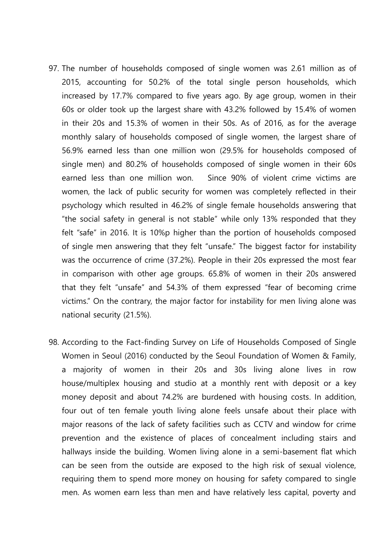- 97. The number of households composed of single women was 2.61 million as of 2015, accounting for 50.2% of the total single person households, which increased by 17.7% compared to five years ago. By age group, women in their 60s or older took up the largest share with 43.2% followed by 15.4% of women in their 20s and 15.3% of women in their 50s. As of 2016, as for the average monthly salary of households composed of single women, the largest share of 56.9% earned less than one million won (29.5% for households composed of single men) and 80.2% of households composed of single women in their 60s earned less than one million won. Since 90% of violent crime victims are women, the lack of public security for women was completely reflected in their psychology which resulted in 46.2% of single female households answering that "the social safety in general is not stable" while only 13% responded that they felt "safe" in 2016. It is 10%p higher than the portion of households composed of single men answering that they felt "unsafe." The biggest factor for instability was the occurrence of crime (37.2%). People in their 20s expressed the most fear in comparison with other age groups. 65.8% of women in their 20s answered that they felt "unsafe" and 54.3% of them expressed "fear of becoming crime victims." On the contrary, the major factor for instability for men living alone was national security (21.5%).
- 98. According to the Fact-finding Survey on Life of Households Composed of Single Women in Seoul (2016) conducted by the Seoul Foundation of Women & Family, a majority of women in their 20s and 30s living alone lives in row house/multiplex housing and studio at a monthly rent with deposit or a key money deposit and about 74.2% are burdened with housing costs. In addition, four out of ten female youth living alone feels unsafe about their place with major reasons of the lack of safety facilities such as CCTV and window for crime prevention and the existence of places of concealment including stairs and hallways inside the building. Women living alone in a semi-basement flat which can be seen from the outside are exposed to the high risk of sexual violence, requiring them to spend more money on housing for safety compared to single men. As women earn less than men and have relatively less capital, poverty and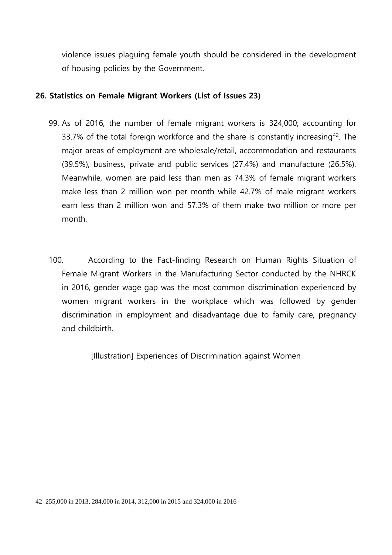violence issues plaguing female youth should be considered in the development of housing policies by the Government.

## **26. Statistics on Female Migrant Workers (List of Issues 23)**

- 99. As of 2016, the number of female migrant workers is 324,000; accounting for 33.7% of the total foreign workforce and the share is constantly increasing<sup>42</sup>. The major areas of employment are wholesale/retail, accommodation and restaurants (39.5%), business, private and public services (27.4%) and manufacture (26.5%). Meanwhile, women are paid less than men as 74.3% of female migrant workers make less than 2 million won per month while 42.7% of male migrant workers earn less than 2 million won and 57.3% of them make two million or more per month.
- 100. According to the Fact-finding Research on Human Rights Situation of Female Migrant Workers in the Manufacturing Sector conducted by the NHRCK in 2016, gender wage gap was the most common discrimination experienced by women migrant workers in the workplace which was followed by gender discrimination in employment and disadvantage due to family care, pregnancy and childbirth.

[Illustration] Experiences of Discrimination against Women

<sup>42</sup> 255,000 in 2013, 284,000 in 2014, 312,000 in 2015 and 324,000 in 2016